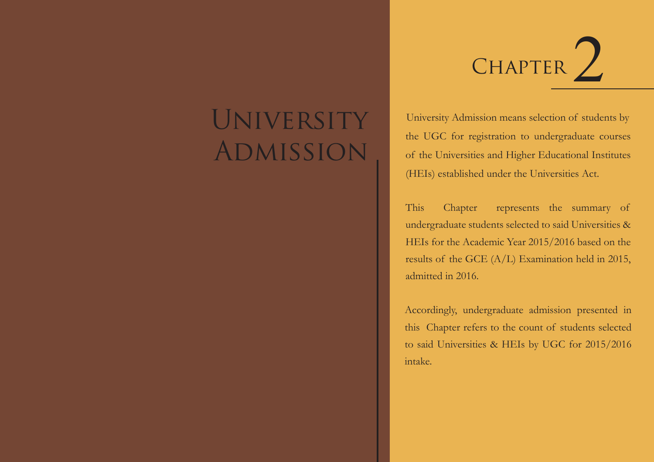# UNIVERSITY Admission



University Admission means selection of students by the UGC for registration to undergraduate courses of the Universities and Higher Educational Institutes (HEIs) established under the Universities Act.

This Chapter represents the summary of undergraduate students selected to said Universities & HEIs for the Academic Year 2015/2016 based on the results of the GCE (A/L) Examination held in 2015, admitted in 2016.

Accordingly, undergraduate admission presented in this Chapter refers to the count of students selected to said Universities & HEIs by UGC for 2015/2016 intake.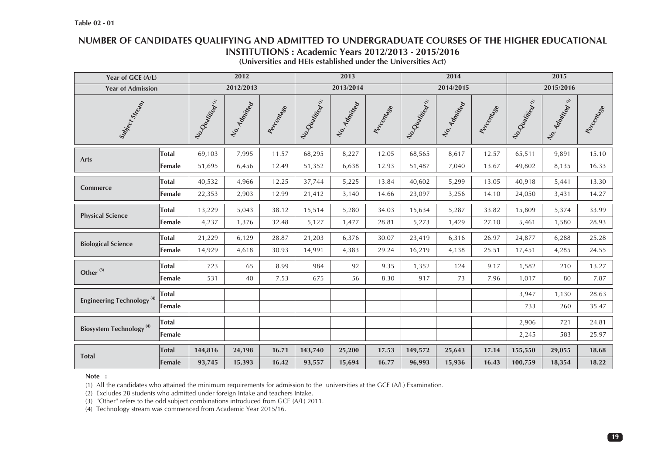# **NUMBER OF CANDIDATES QUALIFYING AND ADMITTED TO UNDERGRADUATE COURSES OF THE HIGHER EDUCATIONAL INSTITUTIONS : Academic Years 2012/2013 - 2015/2016**

| Year of GCE (A/L)                          |              |                   | 2012         |              |                   | 2013          |              |                   | 2014          |             |                   | 2015           |             |
|--------------------------------------------|--------------|-------------------|--------------|--------------|-------------------|---------------|--------------|-------------------|---------------|-------------|-------------------|----------------|-------------|
| <b>Year of Admission</b>                   |              |                   | 2012/2013    |              |                   | 2013/2014     |              |                   | 2014/2015     |             |                   | 2015/2016      |             |
| Subject Strang                             |              | No. Oualitical in | No. Admitted | Aector Magac | No. Oladitical in | No. Admittada | Aector Magac | No. Olalitical in | No. Admittada | Accionation | No. Oualitical in | No. 4dhittee & | Accionation |
| Arts                                       | <b>Total</b> | 69,103            | 7,995        | 11.57        | 68,295            | 8,227         | 12.05        | 68,565            | 8,617         | 12.57       | 65,511            | 9,891          | 15.10       |
|                                            | Female       | 51,695            | 6,456        | 12.49        | 51,352            | 6,638         | 12.93        | 51,487            | 7,040         | 13.67       | 49,802            | 8,135          | 16.33       |
| Commerce                                   | <b>Total</b> | 40,532            | 4,966        | 12.25        | 37,744            | 5,225         | 13.84        | 40,602            | 5,299         | 13.05       | 40,918            | 5,441          | 13.30       |
|                                            | Female       | 22,353            | 2,903        | 12.99        | 21,412            | 3,140         | 14.66        | 23,097            | 3,256         | 14.10       | 24,050            | 3,431          | 14.27       |
| <b>Physical Science</b>                    | <b>Total</b> | 13,229            | 5,043        | 38.12        | 15,514            | 5,280         | 34.03        | 15,634            | 5,287         | 33.82       | 15,809            | 5,374          | 33.99       |
|                                            | Female       | 4,237             | 1,376        | 32.48        | 5,127             | 1,477         | 28.81        | 5,273             | 1,429         | 27.10       | 5,461             | 1,580          | 28.93       |
| <b>Biological Science</b>                  | <b>Total</b> | 21,229            | 6,129        | 28.87        | 21,203            | 6,376         | 30.07        | 23,419            | 6,316         | 26.97       | 24,877            | 6,288          | 25.28       |
|                                            | Female       | 14,929            | 4,618        | 30.93        | 14,991            | 4,383         | 29.24        | 16,219            | 4,138         | 25.51       | 17,451            | 4,285          | 24.55       |
| Other $^{(3)}$                             | <b>Total</b> | 723               | 65           | 8.99         | 984               | 92            | 9.35         | 1,352             | 124           | 9.17        | 1,582             | 210            | 13.27       |
|                                            | Female       | 531               | 40           | 7.53         | 675               | 56            | 8.30         | 917               | 73            | 7.96        | 1,017             | 80             | 7.87        |
| Engineering Technology <sup>(4)</sup>      | <b>Total</b> |                   |              |              |                   |               |              |                   |               |             | 3,947             | 1,130          | 28.63       |
|                                            | Female       |                   |              |              |                   |               |              |                   |               |             | 733               | 260            | 35.47       |
|                                            | <b>Total</b> |                   |              |              |                   |               |              |                   |               |             | 2,906             | 721            | 24.81       |
| <b>Biosystem Technology</b> <sup>(4)</sup> | Female       |                   |              |              |                   |               |              |                   |               |             | 2,245             | 583            | 25.97       |
| <b>Total</b>                               | <b>Total</b> | 144,816           | 24,198       | 16.71        | 143,740           | 25,200        | 17.53        | 149,572           | 25,643        | 17.14       | 155,550           | 29,055         | 18.68       |
|                                            | Female       | 93,745            | 15,393       | 16.42        | 93,557            | 15,694        | 16.77        | 96,993            | 15,936        | 16.43       | 100,759           | 18,354         | 18.22       |

#### **Note :**

(1) All the candidates who attained the minimum requirements for admission to the universities at the GCE (A/L) Examination.

(2) Excludes 28 students who admitted under foreign Intake and teachers Intake.

(3) "Other" refers to the odd subject combinations introduced from GCE (A/L) 2011.

(4) Technology stream was commenced from Academic Year 2015/16.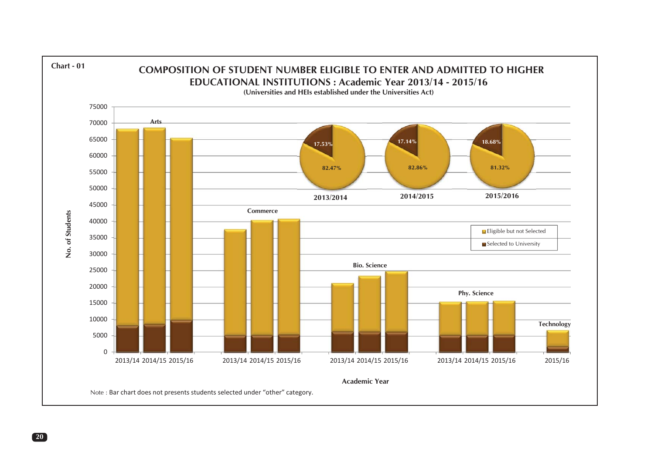

**20**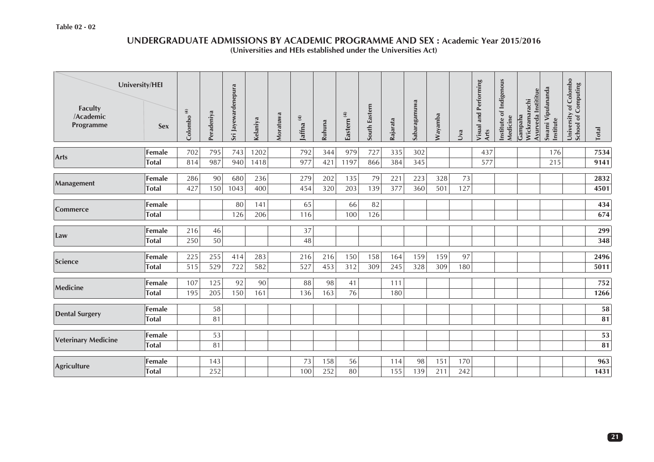#### **UNDERGRADUATE ADMISSIONS BY ACADEMIC PROGRAMME AND SEX : Academic Year 2015/2016 (Universities and HEIs established under the Universities Act)**

| University/HEI<br><b>Faculty</b><br>/Academic<br>Programme | <b>Sex</b>             | Colombo $^{(4)}$ | Peradeniya | Sri Jayewardenepura | Kelaniya   | Moratuwa | $\widehat{\mathfrak{X}}$<br>Jaffna <sup>(</sup> | Ruhuna     | Eastern <sup>(4)</sup> | South Eastern | Rajarata   | Sabaragamuwa | Wayamba    | Jva        | <b>Visual and Performing</b><br>Arts | Institute of Indigenous<br>Medicine | Ayurveda Instititue<br>Wickramarachi<br>Gampaha | Swami Vipulananda<br>Institute | University of Colombo<br>School of Computing | <b>Total</b>     |
|------------------------------------------------------------|------------------------|------------------|------------|---------------------|------------|----------|-------------------------------------------------|------------|------------------------|---------------|------------|--------------|------------|------------|--------------------------------------|-------------------------------------|-------------------------------------------------|--------------------------------|----------------------------------------------|------------------|
| <b>Arts</b>                                                | Female                 | 702              | 795        | 743                 | 1202       |          | 792                                             | 344        | 979                    | 727           | 335        | 302          |            |            | 437                                  |                                     |                                                 | 176                            |                                              | 7534             |
|                                                            | <b>Total</b>           | 814              | 987        | 940                 | 1418       |          | 977                                             | 421        | 1197                   | 866           | 384        | 345          |            |            | 577                                  |                                     |                                                 | 215                            |                                              | 9141             |
| Management                                                 | Female<br><b>Total</b> | 286<br>427       | 90<br>150  | 680<br>1043         | 236<br>400 |          | 279<br>454                                      | 202<br>320 | 135<br>203             | 79<br>139     | 221<br>377 | 223<br>360   | 328<br>501 | 73<br>127  |                                      |                                     |                                                 |                                |                                              | 2832<br>4501     |
| <b>Commerce</b>                                            | Female<br><b>Total</b> |                  |            | 80<br>126           | 141<br>206 |          | 65<br>116                                       |            | 66<br>100              | 82<br>126     |            |              |            |            |                                      |                                     |                                                 |                                |                                              | 434<br>674       |
| Law                                                        | Female<br><b>Total</b> | 216<br>250       | 46<br>50   |                     |            |          | 37<br>48                                        |            |                        |               |            |              |            |            |                                      |                                     |                                                 |                                |                                              | 299<br>348       |
| Science                                                    | Female<br><b>Total</b> | 225<br>515       | 255<br>529 | 414<br>722          | 283<br>582 |          | 216<br>527                                      | 216<br>453 | 150<br>312             | 158<br>309    | 164<br>245 | 159<br>328   | 159<br>309 | 97<br>180  |                                      |                                     |                                                 |                                |                                              | 2496<br>5011     |
| <b>Medicine</b>                                            | Female<br><b>Total</b> | 107<br>195       | 125<br>205 | 92<br>150           | 90<br>161  |          | 88<br>136                                       | 98<br>163  | 41<br>76               |               | 111<br>180 |              |            |            |                                      |                                     |                                                 |                                |                                              | 752<br>1266      |
| <b>Dental Surgery</b>                                      | Female<br><b>Total</b> |                  | 58<br>81   |                     |            |          |                                                 |            |                        |               |            |              |            |            |                                      |                                     |                                                 |                                |                                              | 58<br>81         |
| <b>Veterinary Medicine</b>                                 | Female<br><b>Total</b> |                  | 53<br>81   |                     |            |          |                                                 |            |                        |               |            |              |            |            |                                      |                                     |                                                 |                                |                                              | ${\bf 53}$<br>81 |
| <b>Agriculture</b>                                         | Female<br><b>Total</b> |                  | 143<br>252 |                     |            |          | 73<br>100                                       | 158<br>252 | 56<br>80               |               | 114<br>155 | 98<br>139    | 151<br>211 | 170<br>242 |                                      |                                     |                                                 |                                |                                              | 963<br>1431      |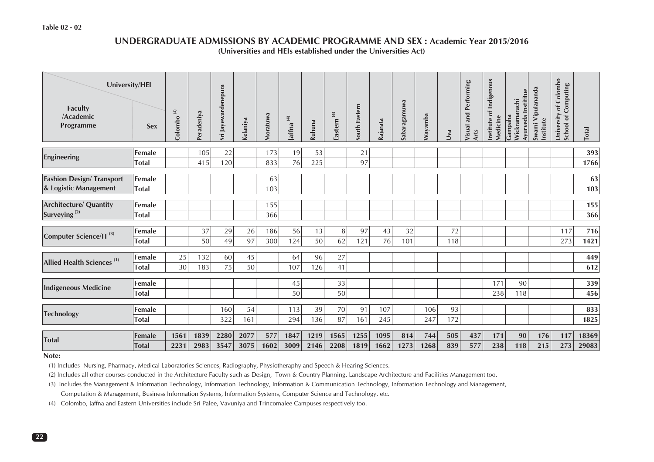#### **Table 02 - 02**

#### **UNDERGRADUATE ADMISSIONS BY ACADEMIC PROGRAMME AND SEX : Academic Year 2015/2016(Universities and HEIs established under the Universities Act)**

| University/HEI<br><b>Faculty</b><br>/Academic<br>Programme | <b>Sex</b>             | $\mathfrak{F}$<br>Colombo | Peradeniya | Sri Jayewardenepura | Kelaniya | Moratuwa | Jaffna <sup>(4)</sup> | Ruhuna | Eastern $^{(4)}$ | South Eastern | Rajarata | Sabaragamuwa | Wayamba | Jva | Performing<br>and<br><b>Visual</b><br>Arts | Institute of Indigenous<br>Medicine | Ayurveda Instititue<br>Wickramarachi<br>Gampaha | Swami Vipulananda<br>Institute | of Colombo<br>Computing<br>University<br>School of | <b>Total</b> |
|------------------------------------------------------------|------------------------|---------------------------|------------|---------------------|----------|----------|-----------------------|--------|------------------|---------------|----------|--------------|---------|-----|--------------------------------------------|-------------------------------------|-------------------------------------------------|--------------------------------|----------------------------------------------------|--------------|
|                                                            | Female                 |                           | 105        | 22                  |          | 173      | 19                    | 53     |                  | 21            |          |              |         |     |                                            |                                     |                                                 |                                |                                                    | 393          |
| Engineering                                                | <b>Total</b>           |                           | 415        | 120                 |          | 833      | 76                    | 225    |                  | 97            |          |              |         |     |                                            |                                     |                                                 |                                |                                                    | 1766         |
| <b>Fashion Design/ Transport</b>                           | Female                 |                           |            |                     |          | 63       |                       |        |                  |               |          |              |         |     |                                            |                                     |                                                 |                                |                                                    | 63           |
| & Logistic Management                                      | <b>Total</b>           |                           |            |                     |          | 103      |                       |        |                  |               |          |              |         |     |                                            |                                     |                                                 |                                |                                                    | 103          |
|                                                            |                        |                           |            |                     |          |          |                       |        |                  |               |          |              |         |     |                                            |                                     |                                                 |                                |                                                    |              |
| <b>Architecture/ Quantity</b>                              | Female                 |                           |            |                     |          | 155      |                       |        |                  |               |          |              |         |     |                                            |                                     |                                                 |                                |                                                    | 155          |
| Surveying <sup>(2)</sup>                                   | <b>Total</b>           |                           |            |                     |          | 366      |                       |        |                  |               |          |              |         |     |                                            |                                     |                                                 |                                |                                                    | 366          |
| Computer Science/IT <sup>(3)</sup>                         | Female                 |                           | 37         | 29                  | 26       | 186      | 56                    | 13     | $\, 8$           | 97            | 43       | 32           |         | 72  |                                            |                                     |                                                 |                                | 117                                                | 716          |
|                                                            | <b>Total</b>           |                           | 50         | 49                  | 97       | 300      | 124                   | 50     | 62               | 121           | 76       | 101          |         | 118 |                                            |                                     |                                                 |                                | 273                                                | 1421         |
|                                                            | Female                 | 25                        | 132        | 60                  | 45       |          | 64                    | 96     | 27               |               |          |              |         |     |                                            |                                     |                                                 |                                |                                                    | 449          |
| Allied Health Sciences <sup>(1)</sup>                      | <b>Total</b>           | 30                        | 183        | 75                  | 50       |          | 107                   | 126    | 41               |               |          |              |         |     |                                            |                                     |                                                 |                                |                                                    | 612          |
|                                                            |                        |                           |            |                     |          |          |                       |        |                  |               |          |              |         |     |                                            |                                     |                                                 |                                |                                                    |              |
| <b>Indigeneous Medicine</b>                                | Female<br><b>Total</b> |                           |            |                     |          |          | 45<br>50              |        | 33<br>50         |               |          |              |         |     |                                            | 171<br>238                          | 90<br>118                                       |                                |                                                    | 339<br>456   |
|                                                            |                        |                           |            |                     |          |          |                       |        |                  |               |          |              |         |     |                                            |                                     |                                                 |                                |                                                    |              |
| <b>Technology</b>                                          | Female                 |                           |            | 160                 | 54       |          | 113                   | 39     | 70               | 91            | 107      |              | 106     | 93  |                                            |                                     |                                                 |                                |                                                    | 833          |
|                                                            | <b>Total</b>           |                           |            | 322                 | 161      |          | 294                   | 136    | 87               | 161           | 245      |              | 247     | 172 |                                            |                                     |                                                 |                                |                                                    | 1825         |
|                                                            | Female                 | 1561                      | 1839       | 2280                | 2077     | 577      | 1847                  | 1219   | 1565             | 1255          | 1095     | 814          | 744     | 505 | 437                                        | 171                                 | 90                                              | 176                            | 117                                                | 18369        |
| <b>Total</b>                                               | <b>Total</b>           | 2231                      | 2983       | 3547                | 3075     | 1602     | 3009                  | 2146   | 2208             | 1819          | 1662     | 1273         | 1268    | 839 | 577                                        | 238                                 | 118                                             | 215                            | 273                                                | 29083        |

#### **Note:**

(1) Includes Nursing, Pharmacy, Medical Laboratories Sciences, Radiography, Physiotheraphy and Speech & Hearing Sciences.

(2) Includes all other courses conducted in the Architecture Faculty such as Design, Town & Country Planning, Landscape Architecture and Facilities Management too.

(3) Includes the Management & Information Technology, Information Technology, Information & Communication Technology, Information Technology and Management,

Computation & Management, Business Information Systems, Information Systems, Computer Science and Technology, etc.

(4) Colombo, Jaffna and Eastern Universities include Sri Palee, Vavuniya and Trincomalee Campuses respectively too.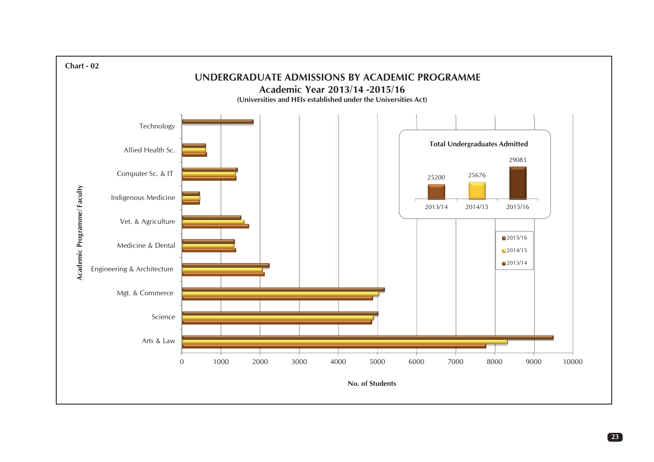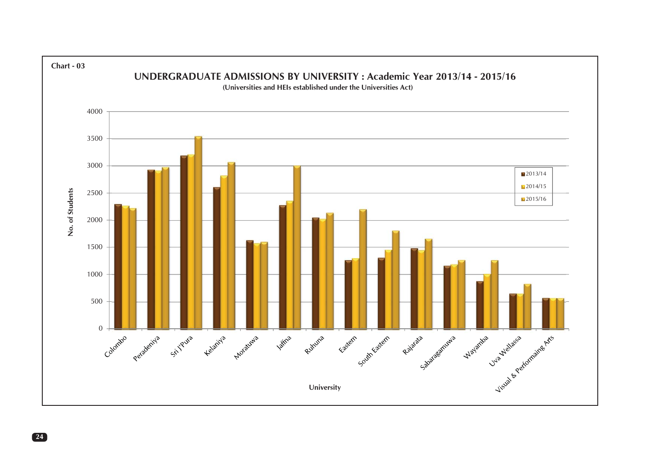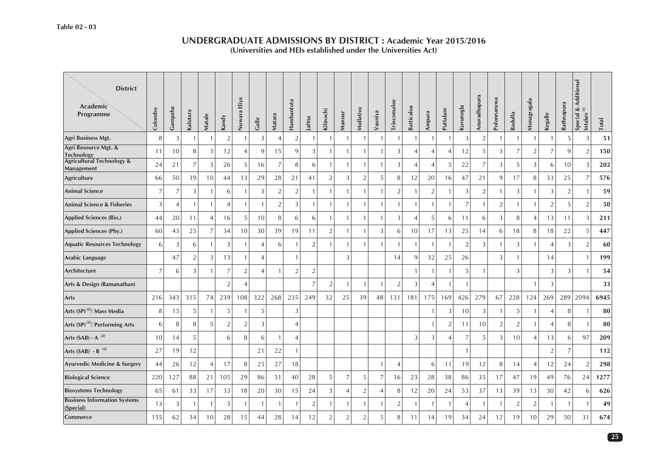| <b>District</b><br>Academic<br>Programme           | Colombo | Gampaha        | Kalutara       | Matale         | Kandy          | Eliya<br>Nuwara | Galle          | Matara         | Hambantota     | Jaffna         | Kilinochi      | Mannar         | Mullativu      | Vauniya        | Trincomalee    | <b>Batticaloa</b> | Ampara         | Puttalam       | Kurunegla      | Anuradhapura   | Polonnaruwa    | Badulla        | Monagragala    | Kegalle        | Rathnapura     | Special & Additional<br>Intakes <sup>(1)</sup> | <b>Total</b> |
|----------------------------------------------------|---------|----------------|----------------|----------------|----------------|-----------------|----------------|----------------|----------------|----------------|----------------|----------------|----------------|----------------|----------------|-------------------|----------------|----------------|----------------|----------------|----------------|----------------|----------------|----------------|----------------|------------------------------------------------|--------------|
| Agri Business Mgt.                                 | 8       | 3              | $\overline{1}$ | $\overline{1}$ | $\overline{2}$ |                 | 3              | $\overline{4}$ | $\overline{2}$ | -1             | $\mathbf{1}$   | $\mathbf{1}$   | $\mathbf{1}$   | $\mathbf{1}$   | $\mathbf{1}$   | 1                 |                | $\mathbf{1}$   | 3              | $\overline{2}$ | $\overline{1}$ | $\mathbf{1}$   | -1             | $\overline{1}$ | 5              | 3                                              | 51           |
| Agri Resource Mgt. &<br><b>Technology</b>          | 11      | 10             | 8              | 3              | 12             | $\overline{4}$  | 9              | 15             | 9              | 3              | $\mathbf{1}$   | $\mathbf{1}$   | $\mathbf{1}$   | $\mathbf{1}$   | 3              | 4                 | $\overline{4}$ | $\overline{4}$ | 12             | 5              | $\overline{3}$ | 7              | $\overline{2}$ | $\overline{7}$ | 9              | $\overline{2}$                                 | 150          |
| <b>Agricultural Technology &amp;</b><br>Management | 24      | 21             | $\overline{7}$ | 3              | 26             | 5 <sup>1</sup>  | 16             | $\overline{7}$ | 8              | 6              | $\mathbf{1}$   | $\overline{1}$ | $\overline{1}$ | $\mathbf{1}$   | 3              | $\overline{4}$    | $\overline{4}$ | 5              | 22             | $\overline{7}$ | 3              | 5              | 3              | 6              | 10             | $\sqrt{3}$                                     | 202          |
| <b>Agriculture</b>                                 | 66      | 50             | 39             | 10             | 44             | 13              | 29             | 28             | 21             | 41             | $\overline{2}$ | 3              | $\overline{2}$ | 5              | 8              | 12                | 20             | 16             | 47             | 21             | 9              | 17             | 8              | 33             | 25             | $\overline{7}$                                 | 576          |
| <b>Animal Science</b>                              | 7       | 7              | 3              | 1              | 6              |                 | 3              | $\overline{2}$ | $\overline{2}$ | $\overline{1}$ | $\mathbf{1}$   | -1             | $\mathbf{1}$   |                | $\overline{2}$ | 1                 | $\overline{2}$ | -1             | 3              | $\sqrt{2}$     | $\overline{1}$ | 3              |                | 3              | $\overline{2}$ | -1                                             | 59           |
| <b>Animal Science &amp; Fisheries</b>              | 3       | $\overline{4}$ |                | $\overline{1}$ | $\overline{4}$ |                 | $\overline{1}$ | $\overline{2}$ | 3              | $\overline{1}$ | $\mathbf{1}$   | $\mathbf{1}$   | $\overline{1}$ |                | -1             | $\mathbf{1}$      | $\mathbf{1}$   | $\overline{1}$ | $\overline{7}$ | $\mathbf{1}$   | $\overline{2}$ | $\mathbf{1}$   |                | $\overline{2}$ | 5              | $\overline{2}$                                 | 50           |
| <b>Applied Sciences (Bio.)</b>                     | 44      | 20             | 11             | $\overline{4}$ | 16             | 5 <sup>1</sup>  | 10             | 8              | 6              | 6              | $\mathbf{1}$   | -1             | $\mathbf{1}$   | $\mathbf{1}$   | 3              | 4                 | 5              | 6              | 11             | 6              | 3              | 8              | 4              | 13             | 11             | 3                                              | 211          |
| Applied Sciences (Phy.)                            | 60      | 43             | 25             | $\overline{7}$ | 34             | 10 <sup>1</sup> | 30             | 39             | 19             | 11             | $\overline{2}$ | $\mathbf{1}$   | $\mathbf{1}$   | 3              | 6              | 10                | 17             | 13             | 25             | 14             | 6              | 18             | 8              | 18             | 22             | 5                                              | 447          |
| <b>Aquatic Resources Technology</b>                | 6       | 3              | 6              | $\overline{1}$ | 3              | 1               | $\overline{4}$ | 6              |                | $\overline{2}$ | $\mathbf{1}$   | $\mathbf{1}$   | $\mathbf{1}$   | $\overline{1}$ | $\overline{1}$ | 1                 | $\mathbf{1}$   | $\overline{1}$ | $\overline{2}$ | 3              | $\overline{1}$ | 3              | $\mathbf{1}$   | $\overline{4}$ | 3              | $\overline{2}$                                 | 60           |
| Arabic Language                                    |         | 47             | $\overline{2}$ | 3              | 13             |                 | $\overline{4}$ |                |                |                |                | 3              |                |                | 14             | 9                 | 32             | 25             | 26             |                | 3              | $\mathbf{1}$   |                | 14             |                | $\mathbf{1}$                                   | 199          |
| Architecture                                       | 7       | 6              | 3              |                | 7              | 2               | $\overline{4}$ | $\mathbf{1}$   | $\overline{2}$ | $\sqrt{2}$     |                |                |                |                |                | -1                | $\mathbf{1}$   |                | 5              |                |                | 3              |                | $\overline{3}$ | 3              |                                                | 54           |
| Arts & Design (Ramanathan)                         |         |                |                |                | $\overline{2}$ | $\overline{4}$  |                |                |                | $\overline{7}$ | $\sqrt{2}$     | $\mathbf{1}$   | $\overline{1}$ | $\mathbf{1}$   | $\overline{2}$ | 3                 | $\overline{4}$ | $\overline{1}$ | $\mathbf{1}$   |                |                |                |                | $\mathfrak{Z}$ |                |                                                | 33           |
| Arts                                               | 216     | 343            | 315            | 74             | 239            | 108             | 322            | 268            | 235            | 249            | 32             | 25             | 39             | 48             | 131            | 181               | 175            | 169            | 426            | 279            | 67             | 228            | 124            | 269            | 289            | 2094                                           | 6945         |
| Arts (SP) <sup>(2)</sup> / Mass Media              | 8       | 15             | 5              | 1              | 5              |                 | 5              |                | 3              |                |                |                |                |                |                |                   | $\mathbf{1}$   | 3              | 10             | 3              | $\overline{1}$ | 5              |                | $\overline{4}$ | 8              | $\mathbf{1}$                                   | 80           |
| Arts (SP) <sup>(2)</sup> / Performing Arts         | 6       | 8              | 8              | 5              | $\overline{2}$ | 2               | 3              |                | $\overline{A}$ |                |                |                |                |                |                |                   | $\overline{1}$ | $\overline{2}$ | 11             | 10             | $\overline{2}$ | $\overline{2}$ |                | $\overline{4}$ | 8              | $\mathbf{1}$                                   | 80           |
| Arts $(SAB) - A^{(2)}$                             | 10      | 14             | 5              |                | 6              | 8               | 6              | 1              |                |                |                |                |                |                |                | 3                 | 3              | $\overline{A}$ | 7              | 5              | 3              | 10             | $\overline{4}$ | 13             | 6              | 97                                             | 209          |
| Arts (SAB) - B <sup>(2)</sup>                      | 27      | 19             | 12             |                |                |                 | 21             | 22             |                |                |                |                |                |                |                |                   |                |                | $\mathbf{1}$   |                |                |                |                | $\sqrt{2}$     | $\overline{7}$ |                                                | 112          |
| Ayurvedic Medicine & Surgery                       | 44      | 26             | 12             | $\overline{A}$ | 17             | 8               | 25             | 27             | 18             |                |                |                |                | $\overline{1}$ | 4              |                   | 6              | 11             | 19             | 12             | 8              | 14             | 4              | 12             | 24             | $\overline{2}$                                 | 298          |
| <b>Biological Science</b>                          | 220     | 127            | 88             | 21             | 105            | 29              | 86             | 51             | 40             | 28             | 5              | 7              | 5              | $\overline{7}$ | 16             | 23                | $28\,$         | 38             | 86             | 35             | 17             | 47             | 19             | 49             | 76             | 24                                             | 1277         |
| <b>Biosystems Technology</b>                       | 65      | 61             | 33             | 17             | 33             | 18              | 20             | 30             | 15             | 24             | 3              | $\overline{4}$ | $\sqrt{2}$     | $\overline{4}$ | 8              | 12                | 20             | 24             | 53             | 37             | 13             | 39             | 13             | 30             | 42             | 6                                              | 626          |
| <b>Business Information Systems</b><br>(Special)   | 13      | 3              | -1             | 1              | 3              | -1              | $\mathbf{1}$   | $\mathbf{1}$   |                | $\overline{2}$ | 1              | -1             | $\mathbf{1}$   | 1              | $\overline{2}$ | -1                | $\overline{1}$ | -1             | 4              | $\mathbf{1}$   | $\overline{1}$ | 2              | $\overline{2}$ | $\overline{1}$ | 1              | $\mathbf{1}$                                   | 49           |
| Commerce                                           | 155     | 62             | 34             | 10             | 28             | 15              | 44             | 28             | 14             | 12             | $\overline{2}$ | $\overline{2}$ | $\overline{2}$ | 5              | 8              | 11                | 14             | 19             | 34             | 24             | 12             | 19             | 10             | 29             | 50             | 31                                             | 674          |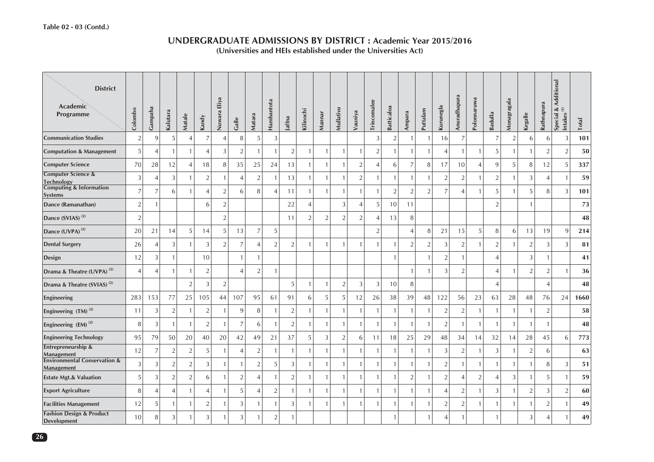| <b>District</b><br>Academic<br>Programme              | Colombo        | Gampaha        | Kalutara       | Matale         | Kandy          | Nuwara Eliya   | Galle          | Matara         | Hambantota     | Jaffna         | Kilinochi      | Mannar         | Mullativu      | Vauniya        | Trincomalee    | Batticaloa     | Ampara         | Puttalam       | Kurunegla      | Anuradhapura             | Polonnaruwa    | Badulla                  | Monagragala    | Kegalle        | Rathnapura     | Special & Additional<br>Intakes <sup>(1)</sup><br>Intakes | Total |
|-------------------------------------------------------|----------------|----------------|----------------|----------------|----------------|----------------|----------------|----------------|----------------|----------------|----------------|----------------|----------------|----------------|----------------|----------------|----------------|----------------|----------------|--------------------------|----------------|--------------------------|----------------|----------------|----------------|-----------------------------------------------------------|-------|
| <b>Communication Studies</b>                          | $\overline{2}$ | 9              | 5              |                | $\overline{7}$ | $\overline{A}$ | 8              | 5              | 3              |                |                |                |                |                | 3              | $\overline{2}$ | -1             | $\overline{1}$ | 16             | $\overline{7}$           |                | 7                        | $\overline{2}$ | 6              | 6              | 3                                                         | 101   |
| <b>Computation &amp; Management</b>                   | 5              | $\overline{A}$ | $\mathbf{1}$   |                | $\overline{4}$ | 3              | $\overline{2}$ | $\overline{1}$ |                | $\overline{2}$ | $\mathbf{1}$   | $\mathbf{1}$   | $\mathbf{1}$   | $\mathbf{1}$   | $\overline{2}$ | $\mathbf{1}$   | $\overline{1}$ | $\mathbf{1}$   | 4              | $\mathbf{1}$             | $\mathbf{1}$   | 5                        | $\mathbf{1}$   | $\mathbf{1}$   | $\overline{2}$ | $\overline{2}$                                            | 50    |
| <b>Computer Science</b>                               | 70             | 28             | 12             | $\overline{4}$ | 18             | 8              | 35             | 25             | 24             | 13             | $\mathbf{1}$   | $\mathbf{1}$   | $\mathbf{1}$   | $\overline{2}$ | $\overline{4}$ | 6              | $\overline{7}$ | 8              | 17             | 10                       | $\overline{4}$ | 9                        | $\sqrt{5}$     | 8              | 12             | 5                                                         | 337   |
| Computer Science &<br><b>Technology</b>               | 3              | $\overline{A}$ | 3              |                | $\sqrt{2}$     |                | $\overline{4}$ | $\sqrt{2}$     | -1             | 13             | $\mathbf{1}$   | $\mathbf{1}$   | $\mathbf{1}$   | $\overline{2}$ | $\overline{1}$ | $\mathbf{1}$   | $\overline{1}$ | $\mathbf{1}$   | $\overline{2}$ | $\overline{2}$           | $\mathbf{1}$   | $\overline{2}$           | $\overline{1}$ | 3              | $\overline{4}$ | $\mathbf{1}$                                              | 59    |
| <b>Computing &amp; Information</b><br><b>Systems</b>  | $\overline{7}$ | 7              | 6              |                | $\overline{4}$ | $\overline{2}$ | 6              | 8              | $\overline{4}$ | 11             | $\mathbf{1}$   | $\mathbf{1}$   | $\mathbf{1}$   | $\mathbf{1}$   | $\overline{1}$ | $\overline{2}$ | $\overline{2}$ | $\overline{2}$ | $\overline{7}$ | $\overline{\mathcal{A}}$ | $\mathbf{1}$   | 5                        |                | 5              | 8              | 3                                                         | 101   |
| Dance (Ramanathan)                                    | $\overline{2}$ | $\overline{1}$ |                |                | 6              | $\overline{2}$ |                |                |                | 22             | $\overline{4}$ |                | 3              | $\overline{4}$ | 5              | 10             | 11             |                |                |                          |                | $\overline{2}$           |                | $\mathbf{1}$   |                |                                                           | 73    |
| Dance (SVIAS) <sup>(2)</sup>                          | $\overline{2}$ |                |                |                |                | $\overline{2}$ |                |                |                | 11             | $\overline{2}$ | 2              | $\overline{2}$ | $\sqrt{2}$     | $\overline{4}$ | 13             | 8              |                |                |                          |                |                          |                |                |                |                                                           | 48    |
| Dance (UVPA) <sup>(2)</sup>                           | 20             | 21             | 14             | 5              | 14             | $\overline{5}$ | 13             | $\overline{7}$ | 5              |                |                |                |                |                | $\overline{2}$ |                | $\overline{4}$ | 8              | 21             | 15                       | 5              | 8                        | 6              | 13             | 19             | 9                                                         | 214   |
| <b>Dental Surgery</b>                                 | 26             | $\overline{A}$ | 3              |                | 3              | $\overline{2}$ | $\overline{7}$ | $\overline{4}$ | $\sqrt{2}$     | $\overline{2}$ | $\mathbf{1}$   | 1              | $\mathbf{1}$   |                | $\overline{1}$ | $\mathbf{1}$   | $\overline{2}$ | $\overline{2}$ | $\mathbf{3}$   | $\overline{2}$           | $\mathbf{1}$   | $\overline{2}$           | $\overline{1}$ | $\sqrt{2}$     | 3              | 3                                                         | 81    |
| Design                                                | 12             | 3              | $\mathbf{1}$   |                | 10             |                | $\mathbf{1}$   | $\overline{1}$ |                |                |                |                |                |                |                | $\mathbf{1}$   |                | $\mathbf{1}$   | $\overline{2}$ | $\mathbf{1}$             |                |                          |                | 3              |                |                                                           | 41    |
| Drama & Theatre (UVPA) <sup>(2)</sup>                 | 4              | 4              | $\mathbf{1}$   | -1             | $\overline{2}$ |                | $\overline{4}$ | $\overline{2}$ | -1             |                |                |                |                |                |                |                | -1             | $\mathbf{1}$   | $\overline{3}$ | $\overline{2}$           |                |                          | $\overline{1}$ | $\overline{2}$ | 2              | -1                                                        | 36    |
| Drama & Theatre (SVIAS) <sup>(2)</sup>                |                |                |                | $\overline{2}$ | 3              | $\overline{2}$ |                |                |                | 5              | $\mathbf{1}$   | $\overline{1}$ | $\overline{2}$ | $\mathbf{3}$   | 3              | 10             | 8              |                |                |                          |                | $\overline{\mathcal{A}}$ |                |                | $\overline{4}$ |                                                           | 48    |
| Engineering                                           | 283            | 153            | 77             | 25             | 105            | 44             | 107            | 95             | 61             | 91             | 6              | 5              | 5              | 12             | 26             | 38             | 39             | 48             | 122            | 56                       | 23             | 63                       | 28             | 48             | 76             | 24                                                        | 1660  |
| Engineering (TM) <sup>(2)</sup>                       | 11             | 3              | $\overline{2}$ |                | $\overline{2}$ |                | 9              | 8              |                | $\sqrt{2}$     | $\mathbf{1}$   | 1              | $\mathbf{1}$   | $\mathbf{1}$   | -1             | $\mathbf{1}$   | -1             | $\mathbf{1}$   | $\overline{2}$ | $\overline{2}$           | $\mathbf{1}$   |                          | $\overline{1}$ | 1              | $\overline{2}$ |                                                           | 58    |
| Engineering (EM) <sup>(2)</sup>                       | 8              | 3              | $\mathbf{1}$   | $\mathbf{1}$   | $\overline{2}$ | $\mathbf{1}$   | $\overline{7}$ | 6              | -1             | $\overline{2}$ | $\mathbf{1}$   | $\mathbf{1}$   | $\mathbf{1}$   | $\mathbf{1}$   | $\overline{1}$ | $\mathbf{1}$   | $\mathbf{1}$   | $\mathbf{1}$   | $\sqrt{2}$     | $\mathbf{1}$             | $\mathbf{1}$   | -1                       | $\overline{1}$ | $\overline{1}$ | $\overline{1}$ |                                                           | 48    |
| <b>Engineering Technology</b>                         | 95             | 79             | 50             | 20             | 40             | 20             | 42             | 49             | 21             | 37             | 5              | 3              | $\overline{2}$ | 6              | 11             | 18             | 25             | 29             | 48             | 34                       | 14             | 32                       | 14             | 28             | 45             | 6                                                         | 773   |
| Entrepreneurship &<br>Management                      | 12             | 7              | $\overline{2}$ | $\overline{2}$ | $\sqrt{5}$     |                | 4              | $\sqrt{2}$     | -1             | $\overline{1}$ | $\mathbf{1}$   | $\mathbf{1}$   | $\mathbf{1}$   | $\overline{1}$ | $\overline{1}$ | $\mathbf{1}$   | $\overline{1}$ | $\mathbf{1}$   | $\mathbf{3}$   | $\sqrt{2}$               | $\mathbf{1}$   | 3                        | $\mathbf{1}$   | $\sqrt{2}$     | 6              |                                                           | 63    |
| <b>Environmental Conservation &amp;</b><br>Management | 3              | 3              | $\overline{2}$ | $\overline{2}$ | 3              |                | $\overline{1}$ | $\overline{2}$ | 5              | 3              | $\mathbf{1}$   | 1              | $\mathbf{1}$   | $\mathbf{1}$   |                | $\mathbf{1}$   |                | $\mathbf{1}$   | $\overline{2}$ | $\mathbf{1}$             | $\mathbf{1}$   |                          | $\overline{1}$ | 1              | 8              | 3                                                         | 51    |
| <b>Estate Mgt.&amp; Valuation</b>                     | $\sqrt{5}$     | 3              | $\overline{2}$ | $\overline{2}$ | $\,6\,$        | 1              | $\overline{2}$ | $\overline{4}$ | -1             | $\overline{2}$ | $\mathbf{1}$   | $\mathbf{1}$   | $\mathbf{1}$   | $\mathbf{1}$   | -1             | $\mathbf{1}$   | $\sqrt{2}$     | $\mathbf{1}$   | $\sqrt{2}$     | $\overline{4}$           | $\sqrt{2}$     | $\overline{A}$           | $\mathfrak{Z}$ | $\mathbf{1}$   | 5              | $\mathbf{1}$                                              | 59    |
| <b>Export Agriculture</b>                             | 8              | 4              | $\overline{4}$ |                | $\overline{4}$ | 1              | 5              | $\overline{4}$ | $\overline{2}$ | $\overline{1}$ | $\mathbf{1}$   | 1              | $\mathbf{1}$   | $\mathbf{1}$   | -1             | $\mathbf{1}$   | $\overline{1}$ | $\mathbf{1}$   | 4              | $\sqrt{2}$               | $\mathbf{1}$   | 3                        | $\overline{1}$ | $\overline{2}$ | 3              | $\overline{2}$                                            | 60    |
| <b>Facilities Management</b>                          | 12             | 5              | $\mathbf{1}$   |                | $\overline{2}$ | 1              | 3              | $\overline{1}$ |                | 3              | $\mathbf{1}$   | -1             | $\mathbf{1}$   | -1             | -1             | $\mathbf{1}$   | -1             | $\mathbf{1}$   | $\overline{2}$ | $\overline{2}$           | $\mathbf{1}$   |                          | $\overline{1}$ | $\mathbf{1}$   | 2              | 1                                                         | 49    |
| <b>Fashion Design &amp; Product</b><br>Development    | 10             | 8              | 3              |                | 3              |                | 3              | $\mathbf{1}$   | $\overline{2}$ |                |                |                |                |                |                | $\mathbf{1}$   |                | $\mathbf{1}$   | $\overline{4}$ |                          |                |                          |                | 3              |                |                                                           | 49    |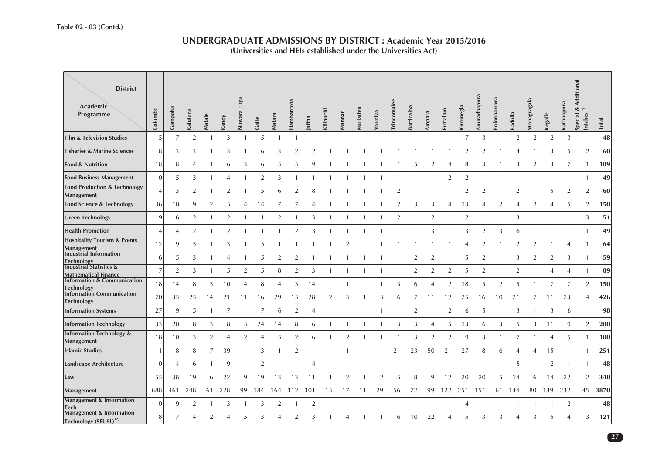#### **Special & Additional**<br>Intakes <sup>(1)</sup> **Special & Additional District**Anuradhapura **Anuradhapura** Eliya **Nuwara Eliya Polonnaruwa Polonnaruwa Monagragala** Hambantota **Hambantota** Aonagragala **Trincomalee Trincomalee** Rathnapura **Rathnapura Kurunegla Academic**  Mullativu **Satticaloa Batticaloa** Colombo **Gampaha Kilinochi Mullativu Puttalam Colombo Kalutara** Nuwara **Vauniya Ampara Badulla Kegalle Programme Mannar Matale Matara Kandy Jaffna Galle Total Film & Television Studies**s  $5$  7 2 1 3 1 5 1 1 1 1 7 3 1 2 2 2 3 **48 Fisheries & Marine Sciences 60** s | 8| 3| 3| 1| 3| 1| 6| 3| 2| 2| 1| 1| 1| 1| 1| 1| 1| 1| 2| 2| 1| 4| 1| 3| 5| 2 **Food & Nutrition 109** n | 18 8 4 1 6 3 6 5 5 9 1 1 1 1 1 5 2 4 8 3 1 3 2 3 7 1 **Food Business Management** 10 5 3 1 4 1 2 3 1 1 1 1 1 1 1 1 1 2 2 1 1 1 1 1 1 1 **49 Food Production & Technology Management** 4 2 2 3 2 1 2 1 2 1 5 6 2 8 1 1 1 1 2 1 1 1 1 2 2 1 2 1 2 1 5 2 2 0 **Food Science & Technology** 36 10 9 2 5 4 14 7 7 4 1 1 1 1 2 3 3 4 13 4 2 4 2 4 5 2 **150 Green Technology** | 9| 6| 2| 1| 2| 1| 1| 2| 1| 3| 1| 1| 1| 1| 2| 1| 2| 1| 2| 1| 1| 3| 1| 1| 1| 3| 51 **Health Promotion 49** n | 4 4 2 1 2 1 1 1 1 2 3 1 1 1 1 1 1 1 3 1 3 2 3 6 1 1 1 **Hospitality Tourism & Events Management** <sup>12</sup> <sup>9</sup> <sup>5</sup> <sup>1</sup> <sup>3</sup> <sup>1</sup> <sup>5</sup> <sup>1</sup> <sup>1</sup> <sup>1</sup> <sup>1</sup> <sup>2</sup> <sup>1</sup> <sup>1</sup> <sup>1</sup> <sup>1</sup> <sup>1</sup> <sup>4</sup> <sup>2</sup> <sup>1</sup> <sup>2</sup> <sup>2</sup> <sup>1</sup> <sup>4</sup> <sup>1</sup> **<sup>64</sup> Industrial Information Technology** 65 5 3 1 4 1 5 2 2 1 1 1 1 1 1 2 2 1 5 2 1 3 2 3 1 59 **Industrial Statistics &**  <sup>17</sup> <sup>12</sup> <sup>3</sup> <sup>1</sup> <sup>5</sup> <sup>2</sup> <sup>5</sup> <sup>8</sup> <sup>2</sup> <sup>3</sup> <sup>1</sup> <sup>1</sup> <sup>1</sup> <sup>1</sup> <sup>1</sup> <sup>2</sup> <sup>2</sup> <sup>2</sup> <sup>5</sup> <sup>2</sup> <sup>1</sup> <sup>2</sup> <sup>1</sup> <sup>4</sup> <sup>4</sup> <sup>1</sup> **<sup>89</sup> Mathematical FinanceInformation & Communication Technology** <sup>18</sup> <sup>14</sup> <sup>8</sup> <sup>3</sup> <sup>10</sup> <sup>4</sup> <sup>8</sup> <sup>4</sup> <sup>3</sup> <sup>14</sup> <sup>1</sup> <sup>1</sup> <sup>3</sup> <sup>6</sup> <sup>4</sup> <sup>2</sup> <sup>18</sup> <sup>5</sup> <sup>2</sup> <sup>5</sup> <sup>1</sup> <sup>7</sup> <sup>7</sup> <sup>2</sup> **<sup>150</sup> Information Communication Technology** <sup>70</sup> <sup>35</sup> <sup>25</sup> <sup>14</sup> <sup>21</sup> <sup>11</sup> <sup>16</sup> <sup>29</sup> <sup>15</sup> <sup>28</sup> <sup>2</sup> <sup>3</sup> <sup>1</sup> <sup>3</sup> <sup>6</sup> <sup>7</sup> <sup>11</sup> <sup>12</sup> <sup>25</sup> <sup>16</sup> <sup>10</sup> <sup>21</sup> <sup>7</sup> <sup>11</sup> <sup>23</sup> <sup>4</sup> **<sup>426</sup> Information Systems** 27 9 5 1 7 7 6 2 4 1 1 2 2 6 5 3 1 3 6 **98 Information Technology** 33 20 8 3 8 5 24 14 8 6 1 1 1 1 3 3 4 5 13 6 3 5 3 11 9 2 **200 Information Technology & Management** <sup>18</sup> <sup>10</sup> <sup>3</sup> <sup>2</sup> <sup>4</sup> <sup>2</sup> <sup>4</sup> <sup>5</sup> <sup>2</sup> <sup>6</sup> <sup>1</sup> <sup>2</sup> <sup>1</sup> <sup>1</sup> <sup>1</sup> <sup>3</sup> <sup>2</sup> <sup>2</sup> <sup>9</sup> <sup>3</sup> <sup>1</sup> <sup>7</sup> <sup>1</sup> <sup>4</sup> <sup>5</sup> <sup>1</sup> **<sup>100</sup> Islamic Studies** 1 8 8 7 39 3 1 2 1 21 23 50 21 27 8 6 4 4 15 1 1 **251 Landscape Architecture** 10 4 6 1 9 2 4 1 1 1 5 2 1 1 **48 Law 348** 55 38 19 6 22 9 19 13 13 11 1 2 1 2 5 8 9 12 20 20 5 14 6 14 22 2**Management** 688 461 248 61 228 99 184 164 112 101 15 17 11 29 56 72 99 122 251 151 61 144 80 139 232 45 **3870 Management & Information**  n 3 1 1 3 3 1 3 2 1 2 1 2 1 1 2 48<br>h **TechManagement & Information Technology (SEUSL) (2)** <sup>8</sup> <sup>7</sup> <sup>4</sup> <sup>2</sup> <sup>4</sup> <sup>5</sup> <sup>3</sup> <sup>4</sup> <sup>2</sup> <sup>3</sup> <sup>1</sup> <sup>4</sup> <sup>1</sup> <sup>1</sup> <sup>6</sup> <sup>10</sup> <sup>22</sup> <sup>4</sup> <sup>5</sup> <sup>3</sup> <sup>3</sup> <sup>4</sup> <sup>3</sup> <sup>5</sup> <sup>4</sup> <sup>3</sup> **<sup>121</sup>**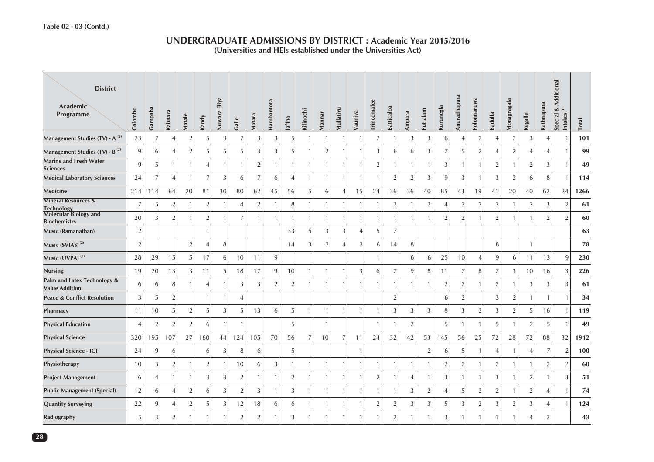| <b>District</b><br>Academic<br><b>Programme</b>      | Colombo        | Gampaha        | Kalutara       | Matale         | Kandy          | Nuwara Eliya | Galle          | Matara         | Hambantota     | Jaffna         | Kilinochi      | Mannar         | Mullativu      | Vauniya        | Trincomalee    | <b>Batticaloa</b> | Ampara         | Puttalam       | Kurunegla      | Anuradhapura   | Polonnaruwa    | Badulla        | Monagragala    | Kegalle         | Rathnapura     | Special & Additional<br>Intakes <sup>(1)</sup> | Total |
|------------------------------------------------------|----------------|----------------|----------------|----------------|----------------|--------------|----------------|----------------|----------------|----------------|----------------|----------------|----------------|----------------|----------------|-------------------|----------------|----------------|----------------|----------------|----------------|----------------|----------------|-----------------|----------------|------------------------------------------------|-------|
| Management Studies (TV) - A <sup>(2)</sup>           | 23             | $\overline{7}$ | $\overline{A}$ | $\overline{2}$ | 5              | 3            | 7              | 3              | 3              | 5              | -1             | $\overline{1}$ | -1             | $\overline{1}$ | $\sqrt{2}$     |                   | 3              | 3              | 6              | $\overline{4}$ | $\overline{2}$ | $\overline{4}$ | $\overline{2}$ | 3               | $\overline{4}$ |                                                | 101   |
| Management Studies (TV) - B <sup>(2)</sup>           | 9              | 6              |                | $\overline{2}$ | 5              | 5            | 5              | 3              | 3              | 5              |                | $\overline{2}$ | 1              | $\mathbf{1}$   | 3              | 6                 | 6              | 3              | 7              | 5              | $\overline{2}$ | $\overline{A}$ | $\sqrt{2}$     | $\overline{4}$  | $\overline{4}$ |                                                | 99    |
| <b>Marine and Fresh Water</b><br><b>Sciences</b>     | 9              | 5              |                | $\overline{1}$ | $\overline{4}$ | $\mathbf{1}$ | $\mathbf{1}$   | $\overline{2}$ | $\mathbf{1}$   | $\mathbf{1}$   |                | $\overline{1}$ | $\mathbf{1}$   | $\mathbf{1}$   | $\overline{2}$ |                   | $\overline{1}$ | $\mathbf{1}$   | 3              | $\mathbf{1}$   | $\mathbf{1}$   | $\overline{2}$ | $\mathbf{1}$   | $\overline{2}$  | 3              |                                                | 49    |
| <b>Medical Laboratory Sciences</b>                   | 24             | 7              |                | $\overline{1}$ | 7              | 3            | 6              | $\overline{7}$ | 6              | 4              | $\mathbf{1}$   | $\overline{1}$ | $\mathbf{1}$   | $\mathbf{1}$   | $\mathbf{1}$   | $\overline{2}$    | $\overline{2}$ | 3              | 9              | $\mathfrak{Z}$ | $\mathbf{1}$   | 3              | $\overline{2}$ | 6               | 8              | $\overline{1}$                                 | 114   |
| Medicine                                             | 214            | 114            | 64             | 20             | 81             | 30           | 80             | 62             | 45             | 56             | 5              | 6              | 4              | 15             | 24             | 36                | 36             | 40             | 85             | 43             | 19             | 41             | 20             | 40              | 62             | 24                                             | 1266  |
| <b>Mineral Resources &amp;</b><br>Technology         | 7              | 5              | 2              | $\mathbf{1}$   | $\overline{2}$ | -1           | $\overline{4}$ | $\sqrt{2}$     |                | 8              |                | $\overline{1}$ | 1              | $\mathbf{1}$   | $\mathbf{1}$   | $\overline{2}$    | -1             | $\sqrt{2}$     |                | $\sqrt{2}$     | $\sqrt{2}$     | $\overline{2}$ | $\mathbf{1}$   | $\sqrt{2}$      | 3              | $\overline{2}$                                 | 61    |
| Molecular Biology and<br><b>Biochemistry</b>         | 20             | 3              | $\mathfrak{D}$ | $\mathbf{1}$   | $\overline{2}$ |              | $\overline{7}$ |                |                | $\mathbf{1}$   |                | $\overline{1}$ |                | $\mathbf{1}$   | $\overline{1}$ |                   |                | 1              | $\mathcal{P}$  | $\overline{2}$ |                | $\overline{2}$ | $\mathbf{1}$   |                 | 2              | $\mathcal{P}$                                  | 60    |
| Music (Ramanathan)                                   | 2              |                |                |                | $\mathbf{1}$   |              |                |                |                | 33             | 5              | 3              | 3              | $\overline{4}$ | 5              | $\overline{7}$    |                |                |                |                |                |                |                |                 |                |                                                | 63    |
| Music (SVIAS) <sup>(2)</sup>                         | $\overline{2}$ |                |                | $\overline{2}$ | 4              | 8            |                |                |                | 14             | 3              | $\overline{2}$ | $\overline{4}$ | $\overline{2}$ | 6              | 14                | 8              |                |                |                |                | 8              |                | $\mathbf{1}$    |                |                                                | 78    |
| Music (UVPA) <sup>(2)</sup>                          | 28             | 29             | 15             | $\overline{5}$ | 17             | 6            | 10             | 11             | 9              |                |                |                |                |                | $\mathbf{1}$   |                   | 6              | 6              | 25             | 10             | $\overline{4}$ | 9              | 6              | 11              | 13             | 9                                              | 230   |
| <b>Nursing</b>                                       | 19             | 20             | 13             | 3              | 11             | 5            | 18             | 17             | 9              | 10             |                | $\overline{1}$ |                | 3              | 6              | 7                 | 9              | 8              | 11             | $\overline{7}$ | 8              | 7              | 3              | 10 <sup>1</sup> | 16             | 3                                              | 226   |
| Palm and Latex Technology &<br><b>Value Addition</b> | 6              | 6              | 8              | $\overline{1}$ | $\overline{4}$ | -1           | 3              | 3              | $\overline{2}$ | $\overline{2}$ |                | $\overline{1}$ | 1              | $\mathbf{1}$   | $\overline{1}$ |                   | $\overline{1}$ | $\mathbf{1}$   | $\overline{2}$ | $\overline{2}$ | $\overline{1}$ | $\sqrt{2}$     | $\mathbf{1}$   | 3               | 3              | 3                                              | 61    |
| <b>Peace &amp; Conflict Resolution</b>               | 3              | 5              | 2              |                | $\mathbf{1}$   | $\mathbf{1}$ | $\overline{4}$ |                |                |                |                |                |                |                |                | $\overline{2}$    |                |                | 6              | $\overline{2}$ |                | 3              | $\overline{2}$ | $\mathbf{1}$    | $\overline{1}$ | $\mathbf{1}$                                   | 34    |
| Pharmacy                                             | 11             | 10             | 5              | $\sqrt{2}$     | 5              | 3            | 5              | 13             | 6              | 5              |                | $\overline{1}$ | $\mathbf{1}$   | $\mathbf{1}$   | $\mathbf{1}$   | 3                 | 3              | 3              | 8              | $\mathfrak{Z}$ | $\sqrt{2}$     | 3              | $\sqrt{2}$     | 5 <sup>1</sup>  | 16             | $\overline{1}$                                 | 119   |
| <b>Physical Education</b>                            | $\angle$       | $\overline{2}$ | $\mathcal{P}$  | $\overline{2}$ | 6              | -1           | $\mathbf{1}$   |                |                | 5              |                | $\mathbf{1}$   |                |                | $\mathbf{1}$   |                   | $\overline{2}$ |                | 5              | $\mathbf{1}$   | $\mathbf{1}$   | 5              | $\mathbf{1}$   | 2               | -5             |                                                | 49    |
| <b>Physical Science</b>                              | 320            | 195            | 107            | 27             | 160            | 44           | 124            | 105            | 70             | 56             | $\overline{7}$ | 10             | $\overline{7}$ | 11             | 24             | 32                | 42             | 53             | 145            | 56             | 25             | 72             | 28             | 72              | 88             | 32                                             | 1912  |
| <b>Physical Science - ICT</b>                        | 24             | 9              | 6              |                | 6              | 3            | 8              | 6              |                | 5              |                |                |                | $\mathbf{1}$   |                |                   |                | $\sqrt{2}$     | 6              | 5              | $\mathbf{1}$   | $\overline{4}$ | $\mathbf{1}$   | $\overline{4}$  | 7              | $\overline{2}$                                 | 100   |
| Physiotherapy                                        | 10             | 3              | $\overline{2}$ | $\overline{1}$ | $\overline{2}$ | -1           | 10             | 6              | 3              | $\mathbf{1}$   |                | $\overline{1}$ | $\mathbf{1}$   | $\mathbf{1}$   | $\mathbf{1}$   |                   | $\overline{1}$ | $\mathbf{1}$   | $\overline{2}$ | $\sqrt{2}$     | $\mathbf{1}$   | $\overline{2}$ | $\mathbf{1}$   | $\mathbf{1}$    | $\overline{2}$ | $\overline{2}$                                 | 60    |
| <b>Project Management</b>                            | 6              | $\overline{4}$ |                | $\overline{1}$ | 3              | 3            | $\overline{2}$ | $\mathbf{1}$   |                | $\overline{2}$ |                | $\overline{1}$ | $\mathbf{1}$   | $\mathbf{1}$   | $\sqrt{2}$     |                   | $\overline{4}$ | $\mathbf{1}$   | 3              | $\mathbf{1}$   | $\mathbf{1}$   | 3              | $\mathbf{1}$   | 2               | $\overline{1}$ | 3                                              | 51    |
| <b>Public Management (Special)</b>                   | 12             | 6              |                | $\sqrt{2}$     | 6              | 3            | $\overline{2}$ | 3              | -1             | 3              |                | $\overline{1}$ | $\mathbf{1}$   | $\mathbf{1}$   | $\mathbf{1}$   |                   | $\mathfrak{Z}$ | $\overline{2}$ | $\overline{4}$ | $\sqrt{5}$     | $\overline{2}$ | $\overline{2}$ | $\mathbf{1}$   | $\overline{2}$  | $\overline{4}$ | $\overline{1}$                                 | 74    |
| <b>Quantity Surveying</b>                            | 22             | 9              | $\overline{A}$ | $\overline{2}$ | 5              | 3            | 12             | 18             | 6              | 6              |                | $\overline{1}$ | $\mathbf{1}$   | $\mathbf{1}$   | $\overline{2}$ | $\overline{2}$    | 3              | 3              | 5              | 3              | $\overline{2}$ | 3              | $\overline{2}$ | 3               | $\overline{4}$ | $\overline{1}$                                 | 124   |
| Radiography                                          | 5              | 3              | $\overline{2}$ | $\mathbf{1}$   | 1              |              | $\overline{2}$ | $\overline{2}$ |                | 3              |                |                | 1              |                |                | $\overline{2}$    | $\overline{1}$ | 1              | 3              |                | 1              |                | $\mathbf{1}$   |                 | $\overline{2}$ |                                                | 43    |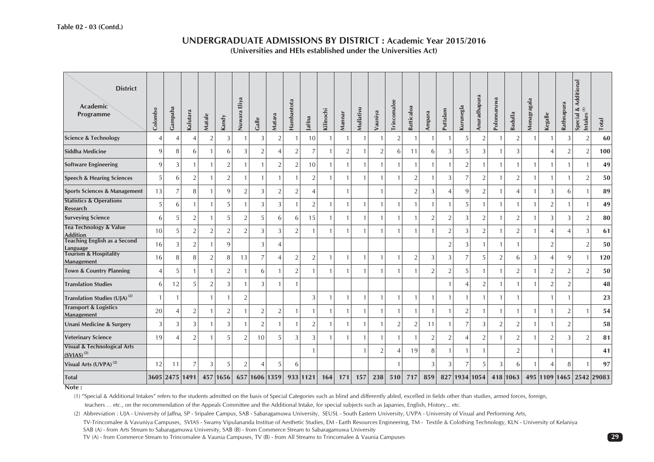| <b>District</b><br>Academic<br>Programme                  | Colombo        | Gampaha        | Kalutara       | Matale         | Kandy          | Nuwara Eliya   | Galle          | Matara         | Hambantota     | Jaffna                   | Kilinochi      | Mannar         | Mullativu      | Vauniya        | Trincomalee    | Batticaloa     | Ampara         | Puttalam                 | Kurunegla      | Anuradhapura   | Polonnaruwa    | Badulla        | Monagragala  | Kegalle                  | Rathnapura     | Additional<br>Special &<br>$\widehat{\boldsymbol{\Xi}}$<br><b>Intakes</b> | <b>Total</b>             |
|-----------------------------------------------------------|----------------|----------------|----------------|----------------|----------------|----------------|----------------|----------------|----------------|--------------------------|----------------|----------------|----------------|----------------|----------------|----------------|----------------|--------------------------|----------------|----------------|----------------|----------------|--------------|--------------------------|----------------|---------------------------------------------------------------------------|--------------------------|
| <b>Science &amp; Technology</b>                           | $\Delta$       | $\overline{4}$ | $\overline{4}$ | $\overline{2}$ | 3              |                | 3              | $\overline{2}$ |                | 10                       | $\mathbf{1}$   |                |                | $\mathbf{1}$   | $\overline{2}$ | $\overline{1}$ | $\mathbf{1}$   |                          | $\overline{5}$ | $\overline{2}$ |                | $\overline{2}$ |              |                          | 3              | $\overline{2}$                                                            | 60                       |
| <b>Siddha Medicine</b>                                    | 9              | 8              | 6              |                | 6              | 3              | $\overline{2}$ | $\overline{4}$ | $\overline{2}$ | $\overline{7}$           | $\mathbf{1}$   | $\overline{2}$ |                | $\overline{2}$ | 6              | 11             | 6              | 3                        | 5              | 3              |                | 3              |              | Δ                        | $\overline{2}$ | $\overline{2}$                                                            | 100                      |
| <b>Software Engineering</b>                               | 9              | 3              | $\mathbf{1}$   | $\overline{1}$ | $\overline{2}$ |                | $\overline{1}$ | $\sqrt{2}$     | 2              | 10                       | $\mathbf{1}$   |                | $\mathbf{1}$   | $\mathbf{1}$   |                | $\overline{1}$ | $\mathbf{1}$   | 1                        | $\overline{2}$ | $\mathbf{1}$   |                | $\mathbf{1}$   | $\mathbf{1}$ | $\mathbf{1}$             | $\mathbf{1}$   | $\mathbf{1}$                                                              | 49                       |
| <b>Speech &amp; Hearing Sciences</b>                      | 5              | 6              | $\overline{2}$ | $\mathbf{1}$   | $\overline{2}$ |                | $\mathbf{1}$   | $\mathbf{1}$   |                | $\overline{2}$           | $\mathbf{1}$   |                | $\mathbf{1}$   | $\mathbf{1}$   |                | $\overline{2}$ | $\mathbf{1}$   | 3                        | $\overline{7}$ | $\overline{2}$ |                | $\overline{2}$ | $\mathbf{1}$ | 1                        |                | $\overline{2}$                                                            | 50                       |
| <b>Sports Sciences &amp; Management</b>                   | 13             | $\overline{7}$ | 8              | $\overline{1}$ | 9              | $\overline{2}$ | 3              | $\overline{2}$ | $\overline{2}$ | $\overline{\mathcal{A}}$ |                |                |                | 1              |                | 2              | 3              | $\overline{\mathcal{A}}$ | 9              | $\overline{2}$ |                | $\overline{4}$ | $\mathbf{1}$ | 3                        | 6              | $\mathbf{1}$                                                              | 89                       |
| <b>Statistics &amp; Operations</b><br>Research            | 5              | 6              | 1              |                | 5              |                | 3              | 3              |                | $\overline{2}$           | 1              |                |                | $\mathbf{1}$   |                | $\mathbf{1}$   | $\mathbf{1}$   |                          | 5              |                |                | $\mathbf{1}$   |              | $\overline{2}$           |                |                                                                           | 49                       |
| <b>Surveying Science</b>                                  | 6              | 5              | $\overline{2}$ |                | 5              | $\overline{2}$ | 5              | 6              | 6              | 15                       | $\mathbf{1}$   |                |                | $\mathbf{1}$   |                |                | $\overline{2}$ | $\overline{2}$           | 3              | $\overline{2}$ |                | $\overline{2}$ |              | 3                        | 3              | $\overline{2}$                                                            | 80                       |
| <b>Tea Technology &amp; Value</b><br><b>Addition</b>      | 10             | 5              | $\overline{2}$ | $\overline{2}$ | $\overline{2}$ | $\overline{2}$ | 3              | 3              | 2              |                          | $\mathbf{1}$   |                |                | $\mathbf{1}$   |                |                | $\mathbf{1}$   | $\overline{2}$           | 3              | $\overline{2}$ |                | 2              |              | 4                        | $\overline{4}$ | 3                                                                         | 61                       |
| <b>Teaching English as a Second</b><br>Language           | 16             | 3              | $\overline{2}$ | $\mathbf{1}$   | 9              |                | 3              | $\overline{4}$ |                |                          |                |                |                |                |                |                |                | $\overline{2}$           | 3              | 1              |                | $\mathbf{1}$   |              | $\overline{2}$           |                | $\overline{2}$                                                            | 50                       |
| <b>Tourism &amp; Hospitality</b><br>Management            | 16             | 8              | 8              | $\overline{2}$ | 8              | 13             | $\overline{7}$ | $\overline{4}$ | $\overline{2}$ | 2                        | $\mathbf{1}$   |                | $\overline{1}$ | $\mathbf{1}$   |                | $\overline{2}$ | 3              | 3                        | $\overline{7}$ | 5              | $\overline{2}$ | 6              | 3            | $\overline{4}$           | 9              | $\mathbf{1}$                                                              | 120                      |
| <b>Town &amp; Country Planning</b>                        | $\overline{4}$ | 5              | 1              | -1             | $\overline{2}$ |                | 6              | -1             | $\overline{2}$ |                          | $\mathbf{1}$   |                |                | $\mathbf{1}$   |                |                | $\overline{2}$ | $\mathfrak{D}$           | 5              | 1              |                | $\overline{2}$ |              | 2                        | $\overline{2}$ | $\overline{2}$                                                            | 50                       |
| <b>Translation Studies</b>                                | 6              | 12             | 5              | $\overline{2}$ | 3              |                | 3              |                |                |                          |                |                |                |                |                |                |                |                          | $\overline{4}$ | $\overline{2}$ |                |                |              | $\overline{2}$           | $\overline{2}$ |                                                                           | 48                       |
| Translation Studies (UJA) <sup>(2)</sup>                  |                |                |                | $\mathbf{1}$   |                | $\overline{2}$ |                |                |                | 3                        | $\mathbf{1}$   |                |                | $\mathbf{1}$   |                | $\overline{1}$ | $\mathbf{1}$   |                          | $\overline{1}$ |                |                | $\mathbf{1}$   |              |                          |                |                                                                           | 23                       |
| <b>Transport &amp; Logistics</b><br>Management            | 20             | $\overline{4}$ | $\overline{2}$ | $\mathbf{1}$   | $\overline{2}$ |                | $\overline{2}$ | $\sqrt{2}$     |                | $\mathbf{1}$             | $\mathbf{1}$   |                | $\overline{1}$ | $\mathbf{1}$   |                | $\mathbf{1}$   | $\mathbf{1}$   |                          | $\overline{2}$ | 1              |                | $\mathbf{1}$   | $\mathbf{1}$ | $\mathbf{1}$             | $\overline{2}$ | $\mathbf{1}$                                                              | 54                       |
| <b>Unani Medicine &amp; Surgery</b>                       | 3              | 3              | 3              | $\mathbf{1}$   | $\sqrt{3}$     |                | $\overline{2}$ | $\mathbf{1}$   |                | $\sqrt{2}$               | $\mathbf{1}$   |                | $\overline{1}$ | $\mathbf{1}$   | 2              | $\overline{2}$ | 11             | $\mathbf{1}$             | $\overline{7}$ | 3              | $\overline{2}$ | $\overline{2}$ | $\mathbf{1}$ | $\overline{1}$           | $\overline{2}$ |                                                                           | 58                       |
| <b>Veterinary Science</b>                                 | 19             | $\overline{4}$ | $\overline{2}$ |                | 5              | $\overline{2}$ | 10             | 5              | 3              | 3                        | $\overline{1}$ |                |                | $\mathbf{1}$   |                |                | $\overline{2}$ | $\overline{2}$           | $\overline{4}$ | $\overline{2}$ |                | $\overline{2}$ |              | $\overline{2}$           | 3              | $\overline{2}$                                                            | 81                       |
| <b>Visual &amp; Technological Arts</b><br>$(SVIAS)^{(2)}$ |                |                |                |                |                |                |                |                |                |                          |                |                |                | $\overline{2}$ |                | 19             | 8              |                          |                |                |                | $\overline{2}$ |              |                          |                |                                                                           | 41                       |
| Visual Arts (UVPA) <sup>(2)</sup>                         | 12             | 11             | $\overline{7}$ | 3              | 5              | $\overline{2}$ | 4              | 5              | 6              |                          |                |                |                |                |                |                | 3              | 3                        | $\overline{7}$ | 5              | 3              | 6              |              | $\overline{\mathcal{A}}$ | 8              |                                                                           | 97                       |
| <b>Total</b>                                              |                |                | 3605 2475 1491 |                | 457 1656       |                | 657 1606 1359  |                |                | 933 1121                 | 164            | 171            | 157            | 238            | 510            | 717            | 859            |                          |                | 827 1934 1054  |                | 418 1063       |              |                          |                |                                                                           | 495 1109 1465 2542 29083 |

#### **Note :**

(1) "Special & Additional Intakes" refers to the students admitted on the basis of Special Categories such as blind and differently abled, excelled in fields other than studies, armed forces, foreign,

teachers … etc., on the recommendation of the Appeals Committee and the Additional Intake, for special subjects such as Japanies, English, History... etc.

(2) Abbreviation : UJA - University of Jaffna, SP - Sripalee Campus, SAB - Sabaragamuwa University, SEUSL - South Eastern University, UVPA - University of Visual and Performing Arts,

TV-Trincomalee & Vavuniya Campuses, SVIAS - Swamy Vipulananda Institue of Aesthetic Studies, EM - Earth Resources Engineering, TM - Textile & Colothing Technology, KLN - University of Kelaniya SAB (A) - from Arts Stream to Sabaragamuwa University, SAB (B) - from Commerce Stream to Sabaragamuwa University

TV (A) - from Commerce Stream to Trincomalee & Vaunia Campuses, TV (B) - from All Streams to Trincomalee & Vaunia Campuses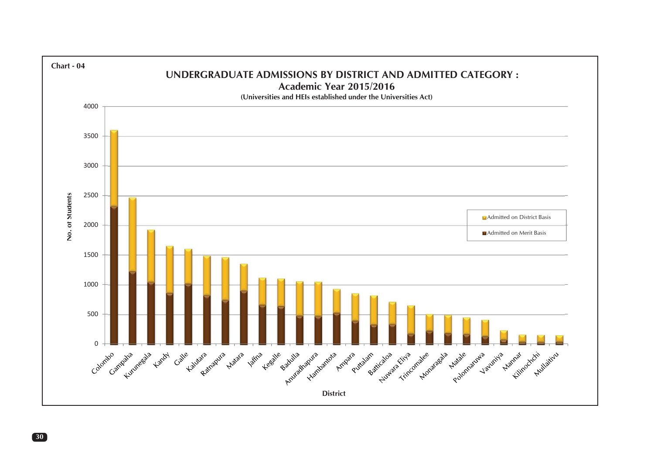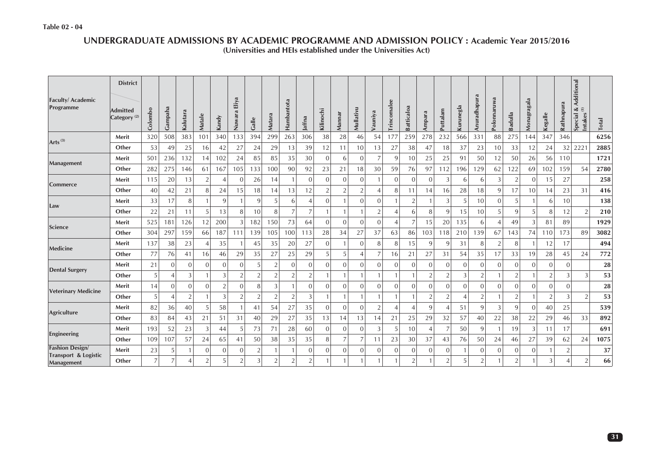#### **UNDERGRADUATE ADMISSIONS BY ACADEMIC PROGRAMME AND ADMISSION POLICY : Academic Year 2015/2016 (Universities and HEIs established under the Universities Act)**

| <b>Faculty/Academic</b><br>Programme | <b>District</b><br><b>Admitted</b><br>Category <sup>(2)</sup> | Colombo              | Gampaha             | Kalutara       | Matale            | Kandy               | Eliya<br>Nuwara                  | Galle               | Matara         | Hambantota                       | Jaffna                         | Kilinochi           | Mannar         | Mullativu      | Vauniya        | Trincomalee    | <b>Batticaloa</b>                | Ampara         | Puttalam                       | Kurunegla      | Anuradhapura                     | Polonnaruwa    | Badulla                          | Monagragala    | Kegalle        | Rathnapura | Additional<br>$\frac{3}{2}$<br>Special<br><b>Intakes</b> | Total    |
|--------------------------------------|---------------------------------------------------------------|----------------------|---------------------|----------------|-------------------|---------------------|----------------------------------|---------------------|----------------|----------------------------------|--------------------------------|---------------------|----------------|----------------|----------------|----------------|----------------------------------|----------------|--------------------------------|----------------|----------------------------------|----------------|----------------------------------|----------------|----------------|------------|----------------------------------------------------------|----------|
| Arts $^{(3)}$                        | Merit                                                         | 320                  | 508                 | 383            | 101               | 340                 | 133                              | 394                 | 299            | 263                              | 306                            | 38                  | 28             | 46             | 54             | 177            | 259                              | 278            | 232                            | 566            | 331                              | 88             | 275                              | 144            | 347            | 346        |                                                          | 6256     |
|                                      | Other                                                         | 53                   | 49                  | 25             | 16                | 42                  | 27                               | 24                  | 29             | 13                               | 39                             | 12                  | 11             | 10             | 13             | 27             | 38                               | 47             | 18                             | 37             | 23                               | 10             | 33                               | 12             | 24             | 32         | 2221                                                     | 2885     |
| Management                           | Merit                                                         | 501                  | 236                 | 132            | 14                | 102                 | 24                               | 85                  | 85             | 35                               | 30                             | $\mathbf{0}$        | 6              | $\mathbf{0}$   |                | 9              | 10                               | 25             | 25                             | 91             | 50                               | 12             | 50                               | 26             | 56             | 110        |                                                          | 1721     |
|                                      | Other                                                         | 282                  | 275                 | 146            | 61                | 167                 | 105                              | 133                 | 100            | 90                               | 92                             | 23                  | 21             | 18             | 30             | 59             | 76                               | 97             | 112                            | 196            | 129                              | 62             | 122                              | 69             | 102            | 159        | 54                                                       | 2780     |
| Commerce                             | Merit                                                         | 115                  | 20                  | 13             | $\overline{2}$    | $\overline{4}$      | $\overline{0}$                   | 26                  | 14             | $\mathbf{1}$                     | $\mathbf{0}$                   | $\mathbf{0}$        | $\mathbf{0}$   | $\mathbf{0}$   |                | $\mathbf{0}$   | $\overline{0}$                   | $\mathbf{0}$   | 3                              | 6              | 6                                | 3              | $\overline{2}$                   | $\mathbf{0}$   | 15             | 27         |                                                          | 258      |
|                                      | Other                                                         | 40                   | 42                  | 21             | 8                 | 24                  | 15                               | 18                  | 14             | 13                               | 12                             | $\overline{2}$      | $\overline{2}$ | $\overline{2}$ |                | 8              | 11                               | 14             | 16                             | 28             | 18                               | 9              | 17                               | 10             | 14             | 23         | 31                                                       | 416      |
| Law                                  | Merit                                                         | 33                   | 17                  | 8              |                   | 9                   |                                  | 9                   | 5              | 6                                | 4                              | $\mathbf{0}$        |                | $\mathbf{0}$   | $\Omega$       |                | $\overline{2}$                   |                | 3                              | 5              | 10                               | $\Omega$       | 5                                |                | 6              | 10         |                                                          | 138      |
|                                      | Other                                                         | 22                   | 21                  | 11             | 5                 | 13                  | 8                                | 10                  | 8              | $\overline{7}$                   | $\overline{7}$                 | $\mathbf{1}$        | $\overline{1}$ |                | $\overline{2}$ | $\overline{4}$ | 6                                | 8              | 9                              | 15             | 10                               | 5              | 9                                | 5 <sup>1</sup> | 8              | 12         | 2                                                        | 210      |
| Science                              | Merit                                                         | 525                  | 181                 | 126            | 12                | 200                 | 3                                | 182                 | 150            | 73                               | 64                             | $\overline{0}$      | $\Omega$       | $\overline{0}$ | $\Omega$       | $\overline{4}$ | $\overline{7}$                   | 15             | 20                             | 135            | 6                                | $\overline{A}$ | 49                               | 3              | 81             | 89         |                                                          | 1929     |
|                                      | Other                                                         | 304                  | 297                 | 159            | 66                | 187                 | 111                              | 139                 | 105            | 100                              | 113                            | 28                  | 34             | 27             | 37             | 63             | 86                               | 103            | 118                            | 210            | 139                              | 67             | 143                              | 74             | 110            | 173        | 89                                                       | 3082     |
| Medicine                             | Merit                                                         | 137                  | 38                  | 23             | $\overline{4}$    | 35                  |                                  | 45                  | 35             | 20                               | 27                             | $\mathbf{0}$        | -1             | $\mathbf{0}$   | 8              | 8              | 15                               | 9              | 9                              | 31             | 8                                | $\overline{2}$ | 8                                |                | 12             | 17         |                                                          | 494      |
|                                      | Other                                                         | 77                   | 76                  | 41             | 16                | 46                  | 29                               | 35                  | 27             | 25                               | 29                             | 5                   | 5              | $\overline{4}$ |                | 16             | 21                               | 27             | 31                             | 54             | 35                               | 17             | 33                               | 19             | 28             | 45         | 24                                                       | 772      |
| <b>Dental Surgery</b>                | Merit                                                         | 21                   | $\mathbf{0}$        | $\Omega$       | $\mathbf{0}$      | $\mathbf{0}$        | $\mathbf{0}$                     | 5                   | $\overline{2}$ | $\mathbf{0}$                     | $\overline{0}$                 | $\mathbf{0}$        | $\mathbf{0}$   | $\mathbf{0}$   | $\Omega$       | $\mathbf{0}$   | $\mathbf{0}$                     | $\mathbf{0}$   | 0                              | $\mathbf{0}$   | 0                                | $\mathbf{0}$   | $\mathbf{0}$                     | $\mathbf{0}$   | $\overline{0}$ | $\Omega$   |                                                          | 28       |
|                                      | Other                                                         | 5                    | $\overline{4}$      | $\mathbf{3}$   |                   | 3                   | $\overline{2}$                   | $\overline{2}$      | $\overline{2}$ | $\overline{2}$                   | 2                              | 1                   |                |                |                |                |                                  | $\overline{2}$ | $\overline{2}$                 | 3              | $\overline{2}$                   |                | $\overline{2}$                   |                | $\overline{2}$ | 3          | 3                                                        | 53       |
| <b>Veterinary Medicine</b>           | Merit                                                         | 14                   | $\overline{0}$      | $\Omega$       | $\mathbf{0}$      | $\overline{2}$      | $\overline{0}$                   | 8                   | $\sqrt{3}$     | $\mathbf{1}$                     | $\mathbf{0}$                   | $\overline{0}$      | $\Omega$       | $\overline{0}$ | $\Omega$       | $\mathbf{0}$   | $\overline{0}$                   | $\mathbf{0}$   | $\overline{0}$                 | $\mathbf{0}$   | $\overline{0}$                   | $\Omega$       | $\overline{0}$                   | $\Omega$       | $\overline{0}$ | $\Omega$   |                                                          | 28       |
|                                      | Other                                                         | 5                    | $\overline{4}$      | $\overline{2}$ | $\mathbf{1}$      | 3                   | 2                                | $\overline{2}$      | $\overline{2}$ | $\overline{2}$                   | 3                              | $\mathbf{1}$        | $\mathbf{1}$   |                |                | $\mathbf{1}$   | 1                                | $\overline{2}$ | $\overline{2}$                 | $\overline{4}$ | $\overline{2}$                   | $\overline{1}$ | $\overline{2}$                   | $\mathbf{1}$   | $\overline{2}$ | 3          | $\mathcal{D}$                                            | 53       |
| <b>Agriculture</b>                   | Merit                                                         | 82                   | 36                  | 40             | 5                 | 58                  |                                  | 41                  | 54             | 27                               | 35                             | $\mathbf{0}$        | $\mathbf{0}$   | 0              | 2              |                | $\overline{4}$                   | 9              | 4                              | 51             | 9                                | 3              | 9                                | $\overline{0}$ | 40             | 25         |                                                          | 539      |
|                                      | Other                                                         | 83                   | 84                  | 43             | 21                | 51                  | 31                               | 40                  | 29             | 27                               | 35                             | 13                  | 14             | 13             | 14             | 21             | 25                               | 29             | 32                             | 57             | 40                               | 22             | 38                               | $2\sqrt{2}$    | 29             | 46         | 33                                                       | 892      |
| <b>Engineering</b>                   | Merit                                                         | 193                  | 52                  | 23             | 3                 | 44                  | 5                                | 73                  | 71             | 28                               | 60                             | $\mathbf{0}$        | $\mathbf{0}$   | $\mathbf{0}$   |                | 5              | 10                               | $\overline{4}$ | 7                              | 50             | 9                                |                | 19                               | 3              | 11             | 17         |                                                          | 691      |
| <b>Fashion Design/</b>               | Other                                                         | 109                  | 107                 | 57             | 24                | 65                  | 41                               | 50                  | 38             | 35                               | 35                             | 8                   |                | 7              | 11             | 23             | 30                               | 37             | 43                             | 76             | 50                               | 24             | 46                               | 27             | 39             | 62         | 24                                                       | 1075     |
| Transport & Logistic<br>Management   | Merit<br>Other                                                | 23<br>$\overline{7}$ | 5<br>$\overline{7}$ |                | $\mathbf{0}$<br>2 | $\overline{0}$<br>5 | $\overline{0}$<br>$\overline{2}$ | $\overline{2}$<br>3 | $\overline{2}$ | $\overline{1}$<br>$\overline{2}$ | $\mathbf{0}$<br>$\overline{2}$ | $\overline{0}$<br>1 | $\mathbf{0}$   | $\mathbf{0}$   | $\Omega$       | $\mathbf{0}$   | $\overline{0}$<br>$\overline{2}$ | $\overline{0}$ | $\mathbf{0}$<br>$\overline{2}$ | 5              | $\overline{0}$<br>$\overline{2}$ | $\mathbf{0}$   | $\overline{0}$<br>$\overline{2}$ | $\mathbf{0}$   | 3              |            | $\overline{2}$                                           | 37<br>66 |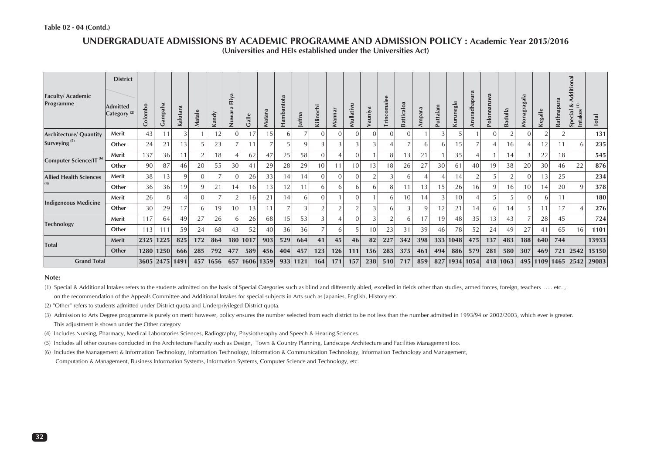#### **UNDERGRADUATE ADMISSIONS BY ACADEMIC PROGRAMME AND ADMISSION POLICY : Academic Year 2015/2016(Universities and HEIs established under the Universities Act)**

| <b>Faculty/Academic</b><br>Programme | <b>District</b><br><b>Admitted</b><br>Category <sup>(2)</sup> | Colombo | Gampaha        | Kalutara | Matale   | Kandy    | Eliya<br>Nuwara | Galle | Matara          | Hambantota | Jaffna   | Kilinochi    | Mannar         | Mullativu      | Vauniya  | <b>Trincomalee</b> | Batticaloa | Ampara | Puttalam       | Kurunegla | Anuradhapura   | Polonnaruwa | adulla<br>$\overline{\mathbf{r}}$ | agala<br>Monagr | Kegalle | Rathnapura | Additional<br>∢<br>$\widehat{\Xi}$<br><b>Intakes</b><br>Special | Total |
|--------------------------------------|---------------------------------------------------------------|---------|----------------|----------|----------|----------|-----------------|-------|-----------------|------------|----------|--------------|----------------|----------------|----------|--------------------|------------|--------|----------------|-----------|----------------|-------------|-----------------------------------|-----------------|---------|------------|-----------------------------------------------------------------|-------|
| <b>Architecture/ Quantity</b>        | Merit                                                         | 43      | 11             |          |          | 12       | $\Omega$        | 17    | 15              | 6          |          | $\Omega$     | $\overline{0}$ | $\Omega$       | $\Omega$ | $\Omega$           | 0          |        | 3              |           |                |             | $\overline{2}$                    | $\Omega$        |         |            |                                                                 | 131   |
| Surveying <sup>(5)</sup>             | Other                                                         | 24      | 21             | 13       |          | 23       |                 |       |                 |            |          |              |                | 3              |          |                    |            | h      | 6              | 15        |                |             | 16                                | 4               | 12      |            | h                                                               | 235   |
|                                      | Merit                                                         | 137     | 36             | 11       |          | 18       |                 | 62    | 47              | 25         | 58       | $\mathbf{0}$ | 4              | $\overline{0}$ |          | 8                  | 13         | 21     |                | 35        | $\overline{4}$ |             | 14                                | 3               | 22      | 18         |                                                                 | 545   |
| Computer Science/IT <sup>(6)</sup>   | Other                                                         | 90      | 87             | 46       | 20       | 55       | 30              | 41    | 29              | 28         | 29       | 10           | 11             | 10             | 13       | 18                 | 26         | 27     | 30             | 61        | 40             | 19          | 38                                | 20              | 30      | 46         | 22                                                              | 876   |
| <b>Allied Health Sciences</b>        | Merit                                                         | 38      | 13             | 9        | $\Omega$ |          |                 | 26    | 33              | 14         | 14       | $\mathbf{0}$ | $\overline{0}$ | $\overline{0}$ |          |                    | 6          |        |                | 14        |                |             | $\Omega$                          | $\mathbf{0}$    | 13      | 25         |                                                                 | 234   |
| (4)                                  | Other                                                         | 36      | 36             | 19       | 9        | 21       | 14              | 16    | 13 <sub>1</sub> | 12         |          | 6            | 61             | 6              | 6        | 8                  | 11         | 13     | 5              | 26        | 16             |             | 16                                | 10              | 14      | 20         |                                                                 | 378   |
|                                      | Merit                                                         | 26      | 8              |          | $\Omega$ |          |                 | 16    | 21              | 14         |          | $\Omega$     |                | $\Omega$       |          | h                  | 10         | 14     | 3              | 10        |                |             | 5                                 | $\Omega$        | 6       |            |                                                                 | 180   |
| <b>Indigeneous Medicine</b>          | Other                                                         | 30      | 29             | 17       | 6        | 19       | 10              | 3     |                 |            |          |              | $\overline{2}$ | ി              |          | b                  | 3          | 9      | $\overline{2}$ | 21        | 14             |             | 14                                | 5               | 11      | 17         |                                                                 | 276   |
|                                      | Merit                                                         | 117     | 64             | 49       | 27       | 26       | <sub>b</sub>    | 26    | 68              | 15         | 53       |              |                | $\Omega$       |          |                    | 6          | 17     | 19             | 48        | 35             | 13          | 43                                |                 | 28      | 45         |                                                                 | 724   |
| <b>Technology</b>                    | Other                                                         | 113     | 111            | 59       | 24       | 68       | 43              | 52    | 40              | 36         | 36       |              | 61             | 5              | 10       | 23                 | 31         | 39     | 46             | 78        | 52             | 24          | 49                                | 27              | 41      | 65         | 16                                                              | 1101  |
|                                      | Merit                                                         | 2325    | 1225           | 825      | 172      | 864      | 180             | 1017  | 903             | 529        | 664      | 41           | 45             | 46             | 82       | 227                | 342        | 398    | 333            | 1048      | 475            | 137         | 483                               | 188             | 640     | 744        |                                                                 | 13933 |
| <b>Total</b>                         | Other                                                         | 1280    | 1250           | 666      | 285      | 792      | 477             | 589   | 456             | 404        | 457      | 123          | 126            | 111            | 156      | 283                | 375        | 461    | 494            | 886       | 579            | 281         | 580                               | 307             | 469     | 721        | 2542                                                            | 15150 |
| <b>Grand Total</b>                   |                                                               |         | 3605 2475 1491 |          |          | 457 1656 | 657             |       | 1606 1359       |            | 933 1121 | 164          | 171            | 157            | 238      | 510                | 717        | 859    | 827            |           | 1934 1054      | 418         | 1063                              | 495             |         |            | 1109 1465 2542                                                  | 29083 |

#### **Note:**

(1) Special & Additional Intakes refers to the students admitted on the basis of Special Categories such as blind and differently abled, excelled in fields other than studies, armed forces, foreign, teachers ….. etc.

on the recommendation of the Appeals Committee and Additional Intakes for special subjects in Arts such as Japanies, English, History etc.

(2) "Other" refers to students admitted under District quota and Underprivileged District quota.

(3) Admission to Arts Degree programme is purely on merit however, policy ensures the number selected from each district to be not less than the number admitted in 1993/94 or 2002/2003, which ever is greater. This adjustment is shown under the Other category

(4) Includes Nursing, Pharmacy, Medical Laboratories Sciences, Radiography, Physiotheraphy and Speech & Hearing Sciences.

(5) Includes all other courses conducted in the Architecture Faculty such as Design, Town & Country Planning, Landscape Architecture and Facilities Management too.

(6) Includes the Management & Information Technology, Information Technology, Information & Communication Technology, Information Technology and Management,

Computation & Management, Business Information Systems, Information Systems, Computer Science and Technology, etc.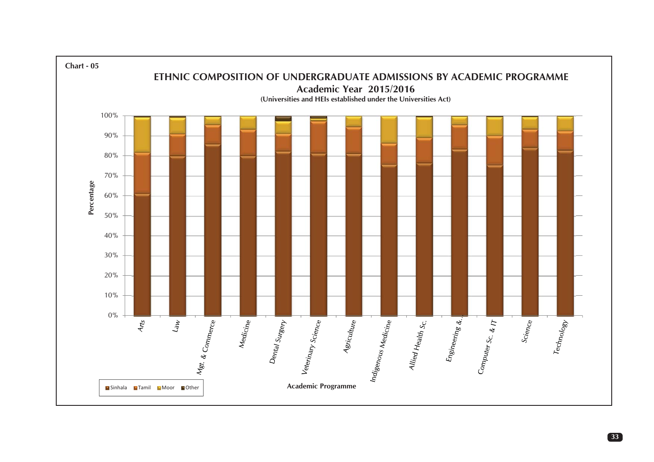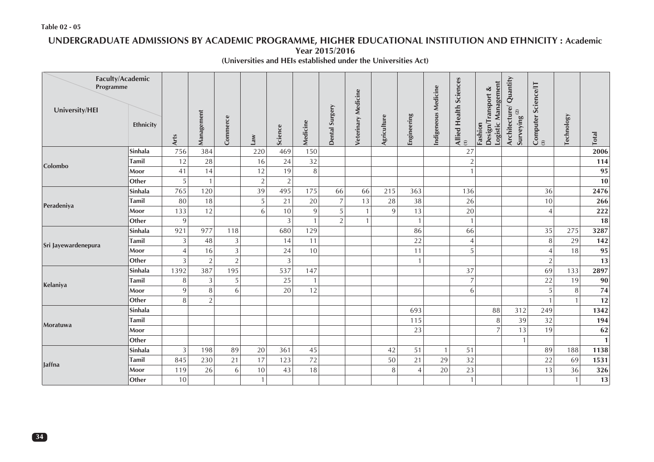#### **Table 02 - 05**

# **UNDERGRADUATE ADMISSIONS BY ACADEMIC PROGRAMME, HIGHER EDUCATIONAL INSTITUTION AND ETHNICITY : Academic**

**Year 2015/2016**

**(Universities and HEIs established under the Universities Act)**

| Faculty/Academic<br>Programme |              |                |                |                |              |                |          |                |                     |             |                |                      | Sciences                      | Management<br>∢                         | Quantity                            | <b>Science/IT</b>    |                   |              |
|-------------------------------|--------------|----------------|----------------|----------------|--------------|----------------|----------|----------------|---------------------|-------------|----------------|----------------------|-------------------------------|-----------------------------------------|-------------------------------------|----------------------|-------------------|--------------|
| University/HEI                | Ethnicity    | Arts           | Management     | Commerce       | Law          | Science        | Medicine | Dental Surgery | Veterinary Medicine | Agriculture | Engineering    | Indigeneous Medicine | Health<br>Allied<br>$\hat{z}$ | Design/Transport<br>Logistic<br>Fashion | Architecture/<br>Surveying $^{(2)}$ | $\frac{Computer}{a}$ | <b>Technology</b> | <b>Total</b> |
|                               | Sinhala      | 756            | 384            |                | 220          | 469            | 150      |                |                     |             |                |                      | 27                            |                                         |                                     |                      |                   | 2006         |
| Colombo                       | <b>Tamil</b> | 12             | 28             |                | 16           | 24             | 32       |                |                     |             |                |                      | $\overline{2}$                |                                         |                                     |                      |                   | 114          |
|                               | Moor         | 41             | 14             |                | 12           | 19             | 8        |                |                     |             |                |                      | $\mathbf{1}$                  |                                         |                                     |                      |                   | 95           |
|                               | Other        | 5              | $\mathbf{1}$   |                | $\sqrt{2}$   | $\overline{2}$ |          |                |                     |             |                |                      |                               |                                         |                                     |                      |                   | 10           |
|                               | Sinhala      | 765            | 120            |                | 39           | 495            | 175      | 66             | 66                  | 215         | 363            |                      | 136                           |                                         |                                     | 36                   |                   | 2476         |
| Peradeniya                    | Tamil        | 80             | 18             |                | 5            | 21             | 20       | $\overline{7}$ | 13                  | 28          | 38             |                      | 26                            |                                         |                                     | 10                   |                   | 266          |
|                               | Moor         | 133            | 12             |                | 6            | 10             | 9        | 5              | $\mathbf{1}$        | 9           | 13             |                      | $20\,$                        |                                         |                                     | 4                    |                   | 222          |
|                               | Other        | 9              |                |                |              | $\mathfrak{Z}$ |          | $\mathcal{P}$  | $\mathbf{1}$        |             | $\mathbf{1}$   |                      | $\overline{1}$                |                                         |                                     |                      |                   | <b>18</b>    |
|                               | Sinhala      | 921            | 977            | 118            |              | 680            | 129      |                |                     |             | 86             |                      | 66                            |                                         |                                     | 35                   | 275               | 3287         |
| Sri Jayewardenepura           | <b>Tamil</b> | 3              | 48             | 3              |              | 14             | 11       |                |                     |             | 22             |                      | 4                             |                                         |                                     | 8                    | 29                | 142          |
|                               | Moor         | $\overline{4}$ | 16             | $\mathfrak{Z}$ |              | 24             | 10       |                |                     |             | 11             |                      | 5                             |                                         |                                     | $\overline{4}$       | 18                | 95           |
|                               | Other        | 3              | $\sqrt{2}$     | $\sqrt{2}$     |              | $\mathfrak z$  |          |                |                     |             | $\mathbf{1}$   |                      |                               |                                         |                                     | $\overline{2}$       |                   | 13           |
|                               | Sinhala      | 1392           | 387            | 195            |              | 537            | 147      |                |                     |             |                |                      | 37                            |                                         |                                     | 69                   | 133               | 2897         |
| Kelaniya                      | <b>Tamil</b> | 8              | 3              | 5              |              | 25             |          |                |                     |             |                |                      | $\overline{7}$                |                                         |                                     | 22                   | 19                | 90           |
|                               | Moor         | 9              | 8              | 6              |              | 20             | 12       |                |                     |             |                |                      | 6                             |                                         |                                     | 5                    | 8                 | 74           |
|                               | Other        | 8              | $\overline{2}$ |                |              |                |          |                |                     |             |                |                      |                               |                                         |                                     |                      | $\mathbf{1}$      | 12           |
|                               | Sinhala      |                |                |                |              |                |          |                |                     |             | 693            |                      |                               | 88                                      | 312                                 | 249                  |                   | 1342         |
| Moratuwa                      | <b>Tamil</b> |                |                |                |              |                |          |                |                     |             | 115            |                      |                               | 8                                       | 39                                  | 32                   |                   | 194          |
|                               | Moor         |                |                |                |              |                |          |                |                     |             | 23             |                      |                               | $\overline{7}$                          | 13                                  | 19                   |                   | 62           |
|                               | Other        |                |                |                |              |                |          |                |                     |             |                |                      |                               |                                         | $\mathbf{1}$                        |                      |                   | $\mathbf{1}$ |
|                               | Sinhala      | 3              | 198            | 89             | $20\,$       | 361            | 45       |                |                     | 42          | 51             | $\mathbf{1}$         | 51                            |                                         |                                     | 89                   | 188               | 1138         |
| <b>Jaffna</b>                 | <b>Tamil</b> | 845            | 230            | 21             | 17           | 123            | 72       |                |                     | 50          | 21             | 29                   | 32                            |                                         |                                     | 22                   | 69                | 1531         |
|                               | Moor         | 119            | 26             | 6              | 10           | 43             | 18       |                |                     | 8           | $\overline{4}$ | 20                   | 23                            |                                         |                                     | 13                   | 36                | 326          |
|                               | Other        | 10             |                |                | $\mathbf{1}$ |                |          |                |                     |             |                |                      | $\mathbf{1}$                  |                                         |                                     |                      | $\mathbf{1}$      | 13           |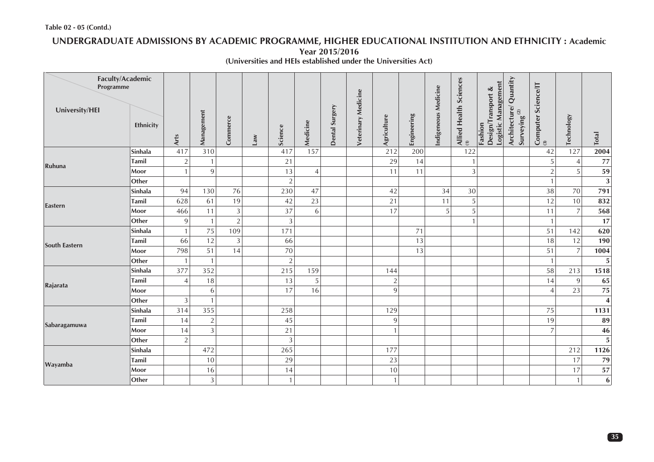# **UNDERGRADUATE ADMISSIONS BY ACADEMIC PROGRAMME, HIGHER EDUCATIONAL INSTITUTION AND ETHNICITY : Academic**

**Year 2015/2016**

**(Universities and HEIs established under the Universities Act)**

| Faculty/Academic<br>Programme |              |                |                |                |     |                |                |                |                     |                |             |                      | Sciences                    | త                                                       |                                              |                           |                   |                         |
|-------------------------------|--------------|----------------|----------------|----------------|-----|----------------|----------------|----------------|---------------------|----------------|-------------|----------------------|-----------------------------|---------------------------------------------------------|----------------------------------------------|---------------------------|-------------------|-------------------------|
| University/HEI                | Ethnicity    | Arts           | Management     | Commerce       | Law | Science        | Medicine       | Dental Surgery | Veterinary Medicine | Agriculture    | Engineering | Indigeneous Medicine | Allied Health $\frac{1}{2}$ | Logistic Management<br>ransport<br>Design/Tr<br>Fashion | Architecture/ Quantity<br>Surveying $^{(2)}$ | Computer Science/IT<br>3) | <b>Technology</b> | Total                   |
|                               | Sinhala      | 417            | 310            |                |     | 417            | 157            |                |                     | 212            | 200         |                      | 122                         |                                                         |                                              | 42                        | 127               | 2004                    |
| Ruhuna                        | <b>Tamil</b> | $\sqrt{2}$     | $\mathbf{1}$   |                |     | 21             |                |                |                     | 29             | 14          |                      | $\overline{1}$              |                                                         |                                              | 5                         | $\overline{4}$    | $77$                    |
|                               | Moor         | $\mathbf{1}$   | $\overline{9}$ |                |     | 13             | $\overline{4}$ |                |                     | 11             | 11          |                      | $\mathfrak{Z}$              |                                                         |                                              | $\overline{2}$            | 5                 | 59                      |
|                               | Other        |                |                |                |     | $\overline{2}$ |                |                |                     |                |             |                      |                             |                                                         |                                              | $\mathbf{1}$              |                   | $\overline{\mathbf{3}}$ |
|                               | Sinhala      | 94             | 130            | 76             |     | 230            | 47             |                |                     | 42             |             | 34                   | 30                          |                                                         |                                              | 38                        | 70                | 791                     |
| Eastern                       | <b>Tamil</b> | 628            | 61             | 19             |     | 42             | 23             |                |                     | 21             |             | 11                   | 5                           |                                                         |                                              | 12                        | 10                | 832                     |
|                               | Moor         | 466            | 11             | $\mathfrak{Z}$ |     | 37             | $\sqrt{6}$     |                |                     | 17             |             | 5                    | 5                           |                                                         |                                              | 11                        | $\overline{7}$    | 568                     |
|                               | Other        | 9              | $\mathbf{1}$   | $\overline{2}$ |     | $\overline{3}$ |                |                |                     |                |             |                      | $\mathbf{1}$                |                                                         |                                              | $\mathbf{1}$              |                   | 17                      |
|                               | Sinhala      |                | 75             | 109            |     | 171            |                |                |                     |                | 71          |                      |                             |                                                         |                                              | 51                        | 142               | 620                     |
| <b>South Eastern</b>          | <b>Tamil</b> | 66             | 12             | 3              |     | 66             |                |                |                     |                | 13          |                      |                             |                                                         |                                              | 18                        | 12                | 190                     |
|                               | Moor         | 798            | 51             | 14             |     | 70             |                |                |                     |                | 13          |                      |                             |                                                         |                                              | 51                        | $\overline{7}$    | 1004                    |
|                               | Other        |                | $\mathbf{1}$   |                |     | $\overline{2}$ |                |                |                     |                |             |                      |                             |                                                         |                                              | $\mathbf{1}$              |                   | $\overline{\mathbf{5}}$ |
|                               | Sinhala      | 377            | 352            |                |     | 215            | 159            |                |                     | 144            |             |                      |                             |                                                         |                                              | 58                        | 213               | 1518                    |
| Rajarata                      | Tamil        | $\overline{4}$ | 18             |                |     | 13             | 5              |                |                     | $\overline{2}$ |             |                      |                             |                                                         |                                              | 14                        | $\overline{9}$    | 65                      |
|                               | Moor         |                | 6              |                |     | 17             | 16             |                |                     | 9              |             |                      |                             |                                                         |                                              | $\overline{4}$            | 23                | ${\bf 75}$              |
|                               | Other        | $\mathfrak{Z}$ | $\mathbf{1}$   |                |     |                |                |                |                     |                |             |                      |                             |                                                         |                                              |                           |                   | $\overline{\mathbf{4}}$ |
|                               | Sinhala      | 314            | 355            |                |     | 258            |                |                |                     | 129            |             |                      |                             |                                                         |                                              | 75                        |                   | 1131                    |
| Sabaragamuwa                  | <b>Tamil</b> | 14             | $\overline{2}$ |                |     | 45             |                |                |                     | 9              |             |                      |                             |                                                         |                                              | 19                        |                   | 89                      |
|                               | Moor         | 14             | $\overline{3}$ |                |     | 21             |                |                |                     | $\mathbf{1}$   |             |                      |                             |                                                         |                                              | $\overline{7}$            |                   | 46                      |
|                               | Other        | $\overline{2}$ |                |                |     | $\mathfrak{Z}$ |                |                |                     |                |             |                      |                             |                                                         |                                              |                           |                   | $\overline{\mathbf{5}}$ |
|                               | Sinhala      |                | 472            |                |     | 265            |                |                |                     | 177            |             |                      |                             |                                                         |                                              |                           | 212               | 1126                    |
| Wayamba                       | <b>Tamil</b> |                | 10             |                |     | 29             |                |                |                     | 23             |             |                      |                             |                                                         |                                              |                           | 17                | 79                      |
|                               | Moor         |                | 16             |                |     | 14             |                |                |                     | 10             |             |                      |                             |                                                         |                                              |                           | 17                | 57                      |
|                               | Other        |                | $\overline{3}$ |                |     | $\mathbf{1}$   |                |                |                     | 1              |             |                      |                             |                                                         |                                              |                           | $\mathbf{1}$      | $6 \mid$                |